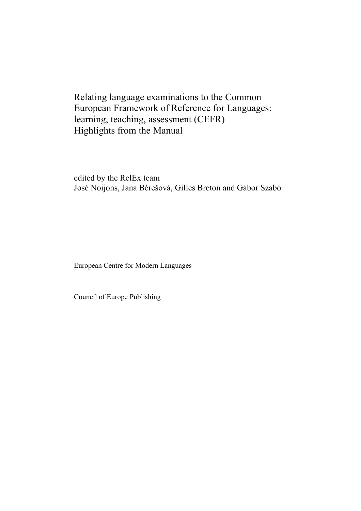Relating language examinations to the Common European Framework of Reference for Languages: learning, teaching, assessment (CEFR) Highlights from the Manual

edited by the RelEx team José Noijons, Jana Bérešová, Gilles Breton and Gábor Szabó

European Centre for Modern Languages

Council of Europe Publishing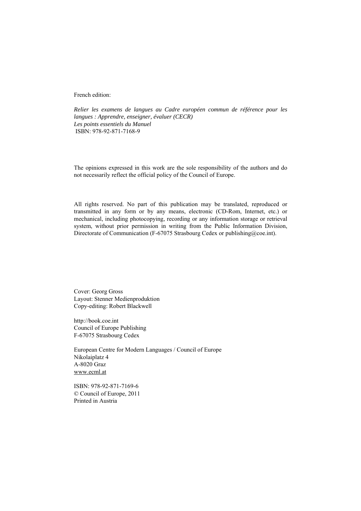French edition:

*Relier les examens de langues au Cadre européen commun de référence pour les langues : Apprendre, enseigner, évaluer (CECR) Les points essentiels du Manuel*  ISBN: 978-92-871-7168-9

The opinions expressed in this work are the sole responsibility of the authors and do not necessarily reflect the official policy of the Council of Europe.

All rights reserved. No part of this publication may be translated, reproduced or transmitted in any form or by any means, electronic (CD-Rom, Internet, etc.) or mechanical, including photocopying, recording or any information storage or retrieval system, without prior permission in writing from the Public Information Division, Directorate of Communication (F-67075 Strasbourg Cedex or publishing@coe.int).

Cover: Georg Gross Layout: Stenner Medienproduktion Copy-editing: Robert Blackwell

http://book.coe.int Council of Europe Publishing F-67075 Strasbourg Cedex

European Centre for Modern Languages / Council of Europe Nikolaiplatz 4 A-8020 Graz www.ecml.at

ISBN: 978-92-871-7169-6 © Council of Europe, 2011 Printed in Austria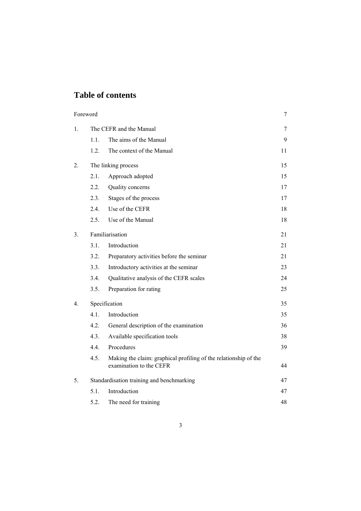# **Table of contents**

|    | Foreword |                                                                                             | 7  |
|----|----------|---------------------------------------------------------------------------------------------|----|
| 1. |          | The CEFR and the Manual                                                                     | 7  |
|    | 1.1.     | The aims of the Manual                                                                      | 9  |
|    | 1.2.     | The context of the Manual                                                                   | 11 |
| 2. |          | The linking process                                                                         | 15 |
|    | 2.1.     | Approach adopted                                                                            | 15 |
|    | 2.2.     | Quality concerns                                                                            | 17 |
|    | 2.3.     | Stages of the process                                                                       | 17 |
|    | 2.4.     | Use of the CEFR                                                                             | 18 |
|    | 2.5.     | Use of the Manual                                                                           | 18 |
| 3. |          | Familiarisation                                                                             | 21 |
|    | 3.1.     | Introduction                                                                                | 21 |
|    | 3.2.     | Preparatory activities before the seminar                                                   | 21 |
|    | 3.3.     | Introductory activities at the seminar                                                      | 23 |
|    | 3.4.     | Qualitative analysis of the CEFR scales                                                     | 24 |
|    | 3.5.     | Preparation for rating                                                                      | 25 |
| 4. |          | Specification                                                                               | 35 |
|    | 4.1.     | Introduction                                                                                | 35 |
|    | 4.2.     | General description of the examination                                                      | 36 |
|    | 4.3.     | Available specification tools                                                               | 38 |
|    | 4.4.     | Procedures                                                                                  | 39 |
|    | 4.5.     | Making the claim: graphical profiling of the relationship of the<br>examination to the CEFR | 44 |
| 5. |          | Standardisation training and benchmarking                                                   | 47 |
|    | 5.1.     | Introduction                                                                                | 47 |
|    | 5.2.     | The need for training                                                                       | 48 |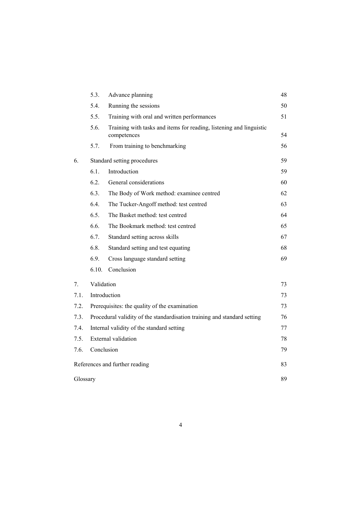|          | 5.3.         | Advance planning                                                                   | 48     |
|----------|--------------|------------------------------------------------------------------------------------|--------|
|          | 5.4.         | Running the sessions                                                               | 50     |
|          | 5.5.         | Training with oral and written performances                                        | 51     |
|          | 5.6.         | Training with tasks and items for reading, listening and linguistic<br>competences | 54     |
|          | 5.7.         | From training to benchmarking                                                      | 56     |
| 6.       |              | Standard setting procedures                                                        | 59     |
|          | 6.1.         | Introduction                                                                       | 59     |
|          | 6.2.         | General considerations                                                             | 60     |
|          | 6.3.         | The Body of Work method: examinee centred                                          | 62     |
|          | 6.4.         | The Tucker-Angoff method: test centred                                             | 63     |
|          | 6.5.         | The Basket method: test centred                                                    | 64     |
|          | 6.6.         | The Bookmark method: test centred                                                  | 65     |
|          | 6.7.         | Standard setting across skills                                                     | 67     |
|          | 6.8.         | Standard setting and test equating                                                 | 68     |
|          | 6.9.         | Cross language standard setting                                                    | 69     |
|          | 6.10.        | Conclusion                                                                         |        |
| 7.       | Validation   |                                                                                    | 73     |
| 7.1.     | Introduction |                                                                                    | 73     |
| 7.2.     |              | Prerequisites: the quality of the examination                                      | 73     |
| 7.3.     |              | Procedural validity of the standardisation training and standard setting           | 76     |
| 7.4.     |              | Internal validity of the standard setting                                          | $77\,$ |
| 7.5.     |              | External validation                                                                | 78     |
| 7.6.     | Conclusion   |                                                                                    | 79     |
|          |              | References and further reading                                                     | 83     |
| Glossary |              |                                                                                    | 89     |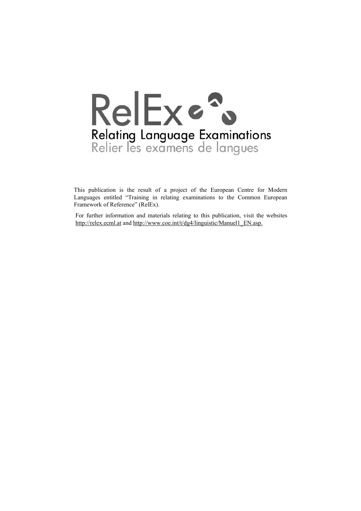

This publication is the result of a project of the European Centre for Modern Languages entitled "Training in relating examinations to the Common European Framework of Reference" (RelEx).

 For further information and materials relating to this publication, visit the websites http://relex.ecml.at and http://www.coe.int/t/dg4/linguistic/Manuel1\_EN.asp.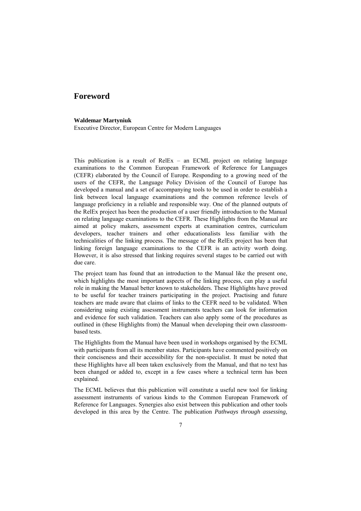# **Foreword**

#### **Waldemar Martyniuk**

Executive Director, European Centre for Modern Languages

This publication is a result of RelEx – an ECML project on relating language examinations to the Common European Framework of Reference for Languages (CEFR) elaborated by the Council of Europe. Responding to a growing need of the users of the CEFR, the Language Policy Division of the Council of Europe has developed a manual and a set of accompanying tools to be used in order to establish a link between local language examinations and the common reference levels of language proficiency in a reliable and responsible way. One of the planned outputs of the RelEx project has been the production of a user friendly introduction to the Manual on relating language examinations to the CEFR. These Highlights from the Manual are aimed at policy makers, assessment experts at examination centres, curriculum developers, teacher trainers and other educationalists less familiar with the technicalities of the linking process. The message of the RelEx project has been that linking foreign language examinations to the CEFR is an activity worth doing. However, it is also stressed that linking requires several stages to be carried out with due care.

The project team has found that an introduction to the Manual like the present one, which highlights the most important aspects of the linking process, can play a useful role in making the Manual better known to stakeholders. These Highlights have proved to be useful for teacher trainers participating in the project. Practising and future teachers are made aware that claims of links to the CEFR need to be validated. When considering using existing assessment instruments teachers can look for information and evidence for such validation. Teachers can also apply some of the procedures as outlined in (these Highlights from) the Manual when developing their own classroombased tests.

The Highlights from the Manual have been used in workshops organised by the ECML with participants from all its member states. Participants have commented positively on their conciseness and their accessibility for the non-specialist. It must be noted that these Highlights have all been taken exclusively from the Manual, and that no text has been changed or added to, except in a few cases where a technical term has been explained.

The ECML believes that this publication will constitute a useful new tool for linking assessment instruments of various kinds to the Common European Framework of Reference for Languages. Synergies also exist between this publication and other tools developed in this area by the Centre. The publication *Pathways through assessing,*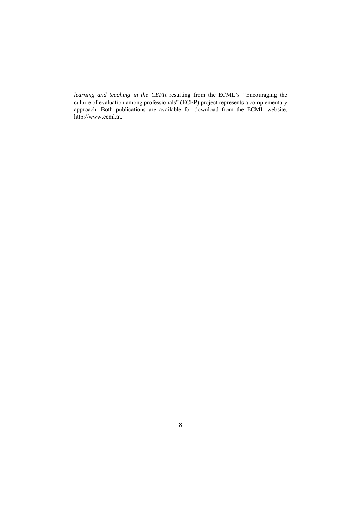*learning and teaching in the CEFR* resulting from the ECML's *"*Encouraging the culture of evaluation among professionals" (ECEP) project represents a complementary approach. Both publications are available for download from the ECML website, http://www.ecml.at.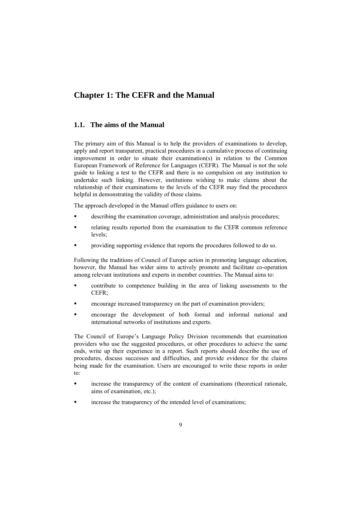# **Chapter 1: The CEFR and the Manual**

### **1.1. The aims of the Manual**

The primary aim of this Manual is to help the providers of examinations to develop, apply and report transparent, practical procedures in a cumulative process of continuing improvement in order to situate their examination(s) in relation to the Common European Framework of Reference for Languages (CEFR). The Manual is not the sole guide to linking a test to the CEFR and there is no compulsion on any institution to undertake such linking. However, institutions wishing to make claims about the relationship of their examinations to the levels of the CEFR may find the procedures helpful in demonstrating the validity of those claims.

The approach developed in the Manual offers guidance to users on:

- describing the examination coverage, administration and analysis procedures;
- relating results reported from the examination to the CEFR common reference levels;
- providing supporting evidence that reports the procedures followed to do so.

Following the traditions of Council of Europe action in promoting language education, however, the Manual has wider aims to actively promote and facilitate co-operation among relevant institutions and experts in member countries. The Manual aims to:

- contribute to competence building in the area of linking assessments to the CEFR;
- encourage increased transparency on the part of examination providers;
- encourage the development of both formal and informal national and international networks of institutions and experts.

The Council of Europe's Language Policy Division recommends that examination providers who use the suggested procedures, or other procedures to achieve the same ends, write up their experience in a report. Such reports should describe the use of procedures, discuss successes and difficulties, and provide evidence for the claims being made for the examination. Users are encouraged to write these reports in order to:

- increase the transparency of the content of examinations (theoretical rationale, aims of examination, etc.);
- increase the transparency of the intended level of examinations;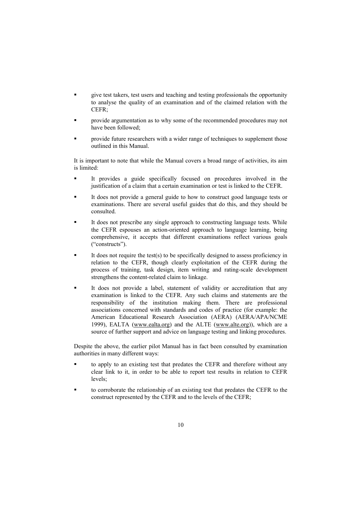- give test takers, test users and teaching and testing professionals the opportunity to analyse the quality of an examination and of the claimed relation with the CEFR;
- provide argumentation as to why some of the recommended procedures may not have been followed;
- **•** provide future researchers with a wider range of techniques to supplement those outlined in this Manual.

It is important to note that while the Manual covers a broad range of activities, its aim is limited:

- It provides a guide specifically focused on procedures involved in the justification of a claim that a certain examination or test is linked to the CEFR.
- It does not provide a general guide to how to construct good language tests or examinations. There are several useful guides that do this, and they should be consulted.
- It does not prescribe any single approach to constructing language tests. While the CEFR espouses an action-oriented approach to language learning, being comprehensive, it accepts that different examinations reflect various goals ("constructs").
- $\blacksquare$  It does not require the test(s) to be specifically designed to assess proficiency in relation to the CEFR, though clearly exploitation of the CEFR during the process of training, task design, item writing and rating-scale development strengthens the content-related claim to linkage.
- It does not provide a label, statement of validity or accreditation that any examination is linked to the CEFR. Any such claims and statements are the responsibility of the institution making them. There are professional associations concerned with standards and codes of practice (for example: the American Educational Research Association (AERA) (AERA/APA/NCME 1999), EALTA (www.ealta.org) and the ALTE (www.alte.org)), which are a source of further support and advice on language testing and linking procedures.

Despite the above, the earlier pilot Manual has in fact been consulted by examination authorities in many different ways:

- to apply to an existing test that predates the CEFR and therefore without any clear link to it, in order to be able to report test results in relation to CEFR levels;
- to corroborate the relationship of an existing test that predates the CEFR to the construct represented by the CEFR and to the levels of the CEFR;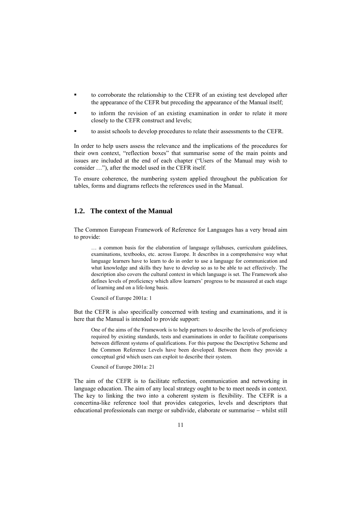- to corroborate the relationship to the CEFR of an existing test developed after the appearance of the CEFR but preceding the appearance of the Manual itself;
- to inform the revision of an existing examination in order to relate it more closely to the CEFR construct and levels;
- to assist schools to develop procedures to relate their assessments to the CEFR.

In order to help users assess the relevance and the implications of the procedures for their own context, "reflection boxes" that summarise some of the main points and issues are included at the end of each chapter ("Users of the Manual may wish to consider …"), after the model used in the CEFR itself.

To ensure coherence, the numbering system applied throughout the publication for tables, forms and diagrams reflects the references used in the Manual.

# **1.2. The context of the Manual**

The Common European Framework of Reference for Languages has a very broad aim to provide:

… a common basis for the elaboration of language syllabuses, curriculum guidelines, examinations, textbooks, etc. across Europe. It describes in a comprehensive way what language learners have to learn to do in order to use a language for communication and what knowledge and skills they have to develop so as to be able to act effectively. The description also covers the cultural context in which language is set. The Framework also defines levels of proficiency which allow learners' progress to be measured at each stage of learning and on a life-long basis.

Council of Europe 2001a: 1

But the CEFR is also specifically concerned with testing and examinations, and it is here that the Manual is intended to provide support:

One of the aims of the Framework is to help partners to describe the levels of proficiency required by existing standards, tests and examinations in order to facilitate comparisons between different systems of qualifications. For this purpose the Descriptive Scheme and the Common Reference Levels have been developed. Between them they provide a conceptual grid which users can exploit to describe their system.

Council of Europe 2001a: 21

The aim of the CEFR is to facilitate reflection, communication and networking in language education. The aim of any local strategy ought to be to meet needs in context. The key to linking the two into a coherent system is flexibility. The CEFR is a concertina-like reference tool that provides categories, levels and descriptors that educational professionals can merge or subdivide, elaborate or summarise – whilst still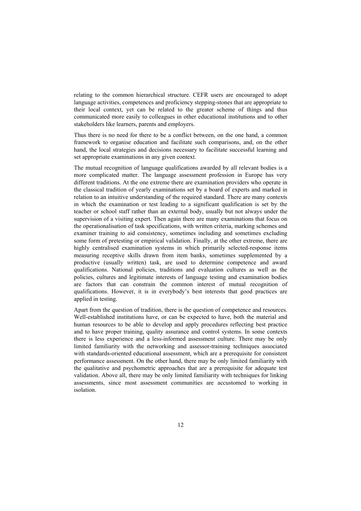relating to the common hierarchical structure. CEFR users are encouraged to adopt language activities, competences and proficiency stepping-stones that are appropriate to their local context, yet can be related to the greater scheme of things and thus communicated more easily to colleagues in other educational institutions and to other stakeholders like learners, parents and employers.

Thus there is no need for there to be a conflict between, on the one hand, a common framework to organise education and facilitate such comparisons, and, on the other hand, the local strategies and decisions necessary to facilitate successful learning and set appropriate examinations in any given context.

The mutual recognition of language qualifications awarded by all relevant bodies is a more complicated matter. The language assessment profession in Europe has very different traditions. At the one extreme there are examination providers who operate in the classical tradition of yearly examinations set by a board of experts and marked in relation to an intuitive understanding of the required standard. There are many contexts in which the examination or test leading to a significant qualification is set by the teacher or school staff rather than an external body, usually but not always under the supervision of a visiting expert. Then again there are many examinations that focus on the operationalisation of task specifications, with written criteria, marking schemes and examiner training to aid consistency, sometimes including and sometimes excluding some form of pretesting or empirical validation. Finally, at the other extreme, there are highly centralised examination systems in which primarily selected-response items measuring receptive skills drawn from item banks, sometimes supplemented by a productive (usually written) task, are used to determine competence and award qualifications. National policies, traditions and evaluation cultures as well as the policies, cultures and legitimate interests of language testing and examination bodies are factors that can constrain the common interest of mutual recognition of qualifications. However, it is in everybody's best interests that good practices are applied in testing.

Apart from the question of tradition, there is the question of competence and resources. Well-established institutions have, or can be expected to have, both the material and human resources to be able to develop and apply procedures reflecting best practice and to have proper training, quality assurance and control systems. In some contexts there is less experience and a less-informed assessment culture. There may be only limited familiarity with the networking and assessor-training techniques associated with standards-oriented educational assessment, which are a prerequisite for consistent performance assessment. On the other hand, there may be only limited familiarity with the qualitative and psychometric approaches that are a prerequisite for adequate test validation. Above all, there may be only limited familiarity with techniques for linking assessments, since most assessment communities are accustomed to working in isolation.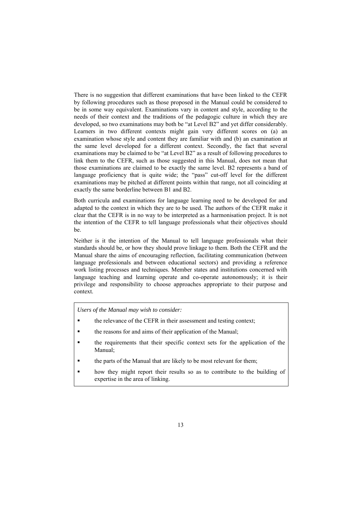There is no suggestion that different examinations that have been linked to the CEFR by following procedures such as those proposed in the Manual could be considered to be in some way equivalent. Examinations vary in content and style, according to the needs of their context and the traditions of the pedagogic culture in which they are developed, so two examinations may both be "at Level B2" and yet differ considerably. Learners in two different contexts might gain very different scores on (a) an examination whose style and content they are familiar with and (b) an examination at the same level developed for a different context. Secondly, the fact that several examinations may be claimed to be "at Level B2" as a result of following procedures to link them to the CEFR, such as those suggested in this Manual, does not mean that those examinations are claimed to be exactly the same level. B2 represents a band of language proficiency that is quite wide; the "pass" cut-off level for the different examinations may be pitched at different points within that range, not all coinciding at exactly the same borderline between B1 and B2.

Both curricula and examinations for language learning need to be developed for and adapted to the context in which they are to be used. The authors of the CEFR make it clear that the CEFR is in no way to be interpreted as a harmonisation project. It is not the intention of the CEFR to tell language professionals what their objectives should be.

Neither is it the intention of the Manual to tell language professionals what their standards should be, or how they should prove linkage to them. Both the CEFR and the Manual share the aims of encouraging reflection, facilitating communication (between language professionals and between educational sectors) and providing a reference work listing processes and techniques. Member states and institutions concerned with language teaching and learning operate and co-operate autonomously; it is their privilege and responsibility to choose approaches appropriate to their purpose and context.

*Users of the Manual may wish to consider:* 

- the relevance of the CEFR in their assessment and testing context;
- **the reasons for and aims of their application of the Manual;**
- the requirements that their specific context sets for the application of the Manual;
- **the parts of the Manual that are likely to be most relevant for them;**
- how they might report their results so as to contribute to the building of expertise in the area of linking.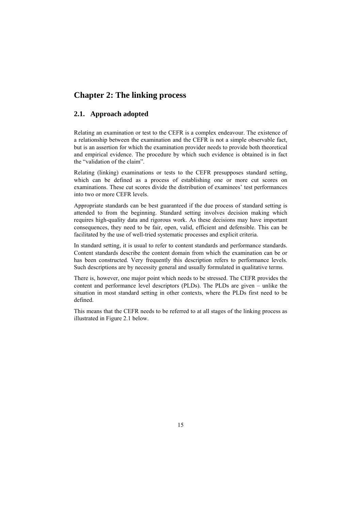# **Chapter 2: The linking process**

### **2.1. Approach adopted**

Relating an examination or test to the CEFR is a complex endeavour. The existence of a relationship between the examination and the CEFR is not a simple observable fact, but is an assertion for which the examination provider needs to provide both theoretical and empirical evidence. The procedure by which such evidence is obtained is in fact the "validation of the claim".

Relating (linking) examinations or tests to the CEFR presupposes standard setting, which can be defined as a process of establishing one or more cut scores on examinations. These cut scores divide the distribution of examinees' test performances into two or more CEFR levels.

Appropriate standards can be best guaranteed if the due process of standard setting is attended to from the beginning. Standard setting involves decision making which requires high-quality data and rigorous work. As these decisions may have important consequences, they need to be fair, open, valid, efficient and defensible. This can be facilitated by the use of well-tried systematic processes and explicit criteria.

In standard setting, it is usual to refer to content standards and performance standards. Content standards describe the content domain from which the examination can be or has been constructed. Very frequently this description refers to performance levels. Such descriptions are by necessity general and usually formulated in qualitative terms.

There is, however, one major point which needs to be stressed. The CEFR provides the content and performance level descriptors (PLDs). The PLDs are given – unlike the situation in most standard setting in other contexts, where the PLDs first need to be defined.

This means that the CEFR needs to be referred to at all stages of the linking process as illustrated in Figure 2.1 below.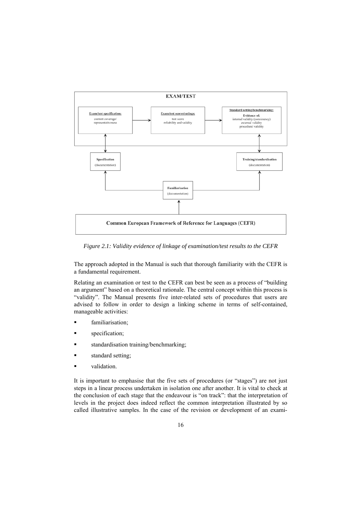

*Figure 2.1: Validity evidence of linkage of examination/test results to the CEFR* 

The approach adopted in the Manual is such that thorough familiarity with the CEFR is a fundamental requirement.

Relating an examination or test to the CEFR can best be seen as a process of "building an argument" based on a theoretical rationale. The central concept within this process is "validity". The Manual presents five inter-related sets of procedures that users are advised to follow in order to design a linking scheme in terms of self-contained, manageable activities:

- **familiarization:**
- **specification**;
- **standardisation training/benchmarking:**
- **standard setting;**
- validation.

It is important to emphasise that the five sets of procedures (or "stages") are not just steps in a linear process undertaken in isolation one after another. It is vital to check at the conclusion of each stage that the endeavour is "on track": that the interpretation of levels in the project does indeed reflect the common interpretation illustrated by so called illustrative samples. In the case of the revision or development of an exami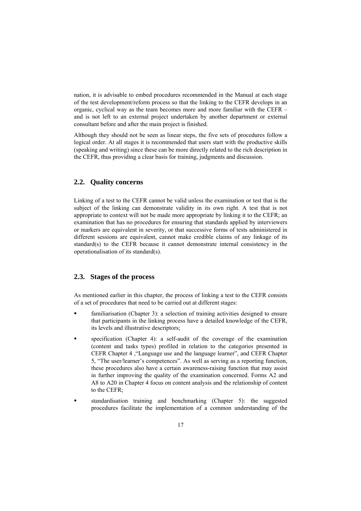nation, it is advisable to embed procedures recommended in the Manual at each stage of the test development/reform process so that the linking to the CEFR develops in an organic, cyclical way as the team becomes more and more familiar with the CEFR – and is not left to an external project undertaken by another department or external consultant before and after the main project is finished.

Although they should not be seen as linear steps, the five sets of procedures follow a logical order. At all stages it is recommended that users start with the productive skills (speaking and writing) since these can be more directly related to the rich description in the CEFR, thus providing a clear basis for training, judgments and discussion.

# **2.2. Quality concerns**

Linking of a test to the CEFR cannot be valid unless the examination or test that is the subject of the linking can demonstrate validity in its own right. A test that is not appropriate to context will not be made more appropriate by linking it to the CEFR; an examination that has no procedures for ensuring that standards applied by interviewers or markers are equivalent in severity, or that successive forms of tests administered in different sessions are equivalent, cannot make credible claims of any linkage of its standard(s) to the CEFR because it cannot demonstrate internal consistency in the operationalisation of its standard(s).

# **2.3. Stages of the process**

As mentioned earlier in this chapter, the process of linking a test to the CEFR consists of a set of procedures that need to be carried out at different stages:

- familiarisation (Chapter 3): a selection of training activities designed to ensure that participants in the linking process have a detailed knowledge of the CEFR, its levels and illustrative descriptors;
- specification (Chapter 4): a self-audit of the coverage of the examination (content and tasks types) profiled in relation to the categories presented in CEFR Chapter 4 ,"Language use and the language learner", and CEFR Chapter 5, "The user/learner's competences". As well as serving as a reporting function, these procedures also have a certain awareness-raising function that may assist in further improving the quality of the examination concerned. Forms A2 and A8 to A20 in Chapter 4 focus on content analysis and the relationship of content to the CEFR<sup>-</sup>
- standardisation training and benchmarking (Chapter 5): the suggested procedures facilitate the implementation of a common understanding of the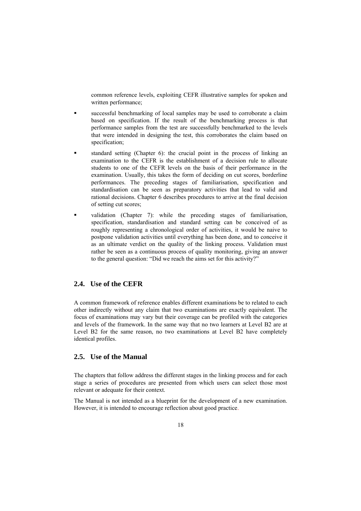common reference levels, exploiting CEFR illustrative samples for spoken and written performance;

- successful benchmarking of local samples may be used to corroborate a claim based on specification. If the result of the benchmarking process is that performance samples from the test are successfully benchmarked to the levels that were intended in designing the test, this corroborates the claim based on specification;
- standard setting (Chapter 6): the crucial point in the process of linking an examination to the CEFR is the establishment of a decision rule to allocate students to one of the CEFR levels on the basis of their performance in the examination. Usually, this takes the form of deciding on cut scores, borderline performances. The preceding stages of familiarisation, specification and standardisation can be seen as preparatory activities that lead to valid and rational decisions. Chapter 6 describes procedures to arrive at the final decision of setting cut scores;
- validation (Chapter 7): while the preceding stages of familiarisation, specification, standardisation and standard setting can be conceived of as roughly representing a chronological order of activities, it would be naive to postpone validation activities until everything has been done, and to conceive it as an ultimate verdict on the quality of the linking process. Validation must rather be seen as a continuous process of quality monitoring, giving an answer to the general question: "Did we reach the aims set for this activity?"

# **2.4. Use of the CEFR**

A common framework of reference enables different examinations be to related to each other indirectly without any claim that two examinations are exactly equivalent. The focus of examinations may vary but their coverage can be profiled with the categories and levels of the framework. In the same way that no two learners at Level B2 are at Level B2 for the same reason, no two examinations at Level B2 have completely identical profiles.

# **2.5. Use of the Manual**

The chapters that follow address the different stages in the linking process and for each stage a series of procedures are presented from which users can select those most relevant or adequate for their context.

The Manual is not intended as a blueprint for the development of a new examination. However, it is intended to encourage reflection about good practice.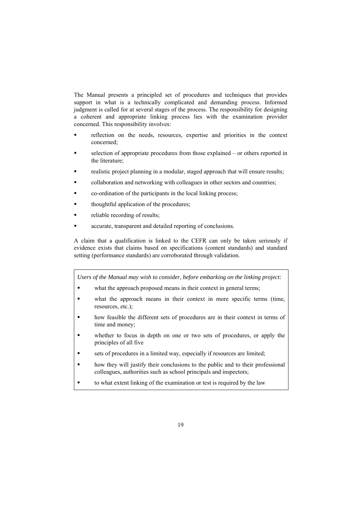The Manual presents a principled set of procedures and techniques that provides support in what is a technically complicated and demanding process. Informed judgment is called for at several stages of the process. The responsibility for designing a coherent and appropriate linking process lies with the examination provider concerned. This responsibility involves:

- reflection on the needs, resources, expertise and priorities in the context concerned;
- selection of appropriate procedures from those explained or others reported in the literature;
- realistic project planning in a modular, staged approach that will ensure results;
- collaboration and networking with colleagues in other sectors and countries;
- co-ordination of the participants in the local linking process;
- **thoughtful application of the procedures:**
- reliable recording of results;
- accurate, transparent and detailed reporting of conclusions.

A claim that a qualification is linked to the CEFR can only be taken seriously if evidence exists that claims based on specifications (content standards) and standard setting (performance standards) are corroborated through validation.

*Users of the Manual may wish to consider, before embarking on the linking project:* 

- what the approach proposed means in their context in general terms;
- what the approach means in their context in more specific terms (time, resources, etc.);
- how feasible the different sets of procedures are in their context in terms of time and money;
- whether to focus in depth on one or two sets of procedures, or apply the principles of all five
- sets of procedures in a limited way, especially if resources are limited;
- how they will justify their conclusions to the public and to their professional colleagues, authorities such as school principals and inspectors;
- to what extent linking of the examination or test is required by the law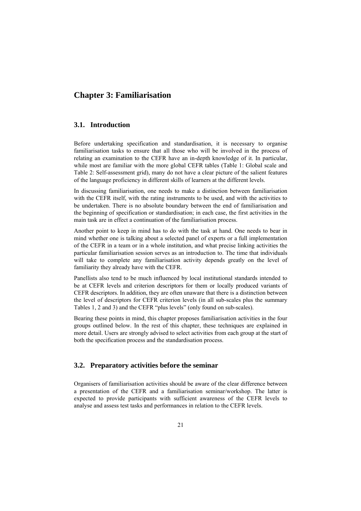# **Chapter 3: Familiarisation**

# **3.1. Introduction**

Before undertaking specification and standardisation, it is necessary to organise familiarisation tasks to ensure that all those who will be involved in the process of relating an examination to the CEFR have an in-depth knowledge of it. In particular, while most are familiar with the more global CEFR tables (Table 1: Global scale and Table 2: Self-assessment grid), many do not have a clear picture of the salient features of the language proficiency in different skills of learners at the different levels.

In discussing familiarisation, one needs to make a distinction between familiarisation with the CEFR itself, with the rating instruments to be used, and with the activities to be undertaken. There is no absolute boundary between the end of familiarisation and the beginning of specification or standardisation; in each case, the first activities in the main task are in effect a continuation of the familiarisation process.

Another point to keep in mind has to do with the task at hand. One needs to bear in mind whether one is talking about a selected panel of experts or a full implementation of the CEFR in a team or in a whole institution, and what precise linking activities the particular familiarisation session serves as an introduction to. The time that individuals will take to complete any familiarisation activity depends greatly on the level of familiarity they already have with the CEFR.

Panellists also tend to be much influenced by local institutional standards intended to be at CEFR levels and criterion descriptors for them or locally produced variants of CEFR descriptors. In addition, they are often unaware that there is a distinction between the level of descriptors for CEFR criterion levels (in all sub-scales plus the summary Tables 1, 2 and 3) and the CEFR "plus levels" (only found on sub-scales).

Bearing these points in mind, this chapter proposes familiarisation activities in the four groups outlined below. In the rest of this chapter, these techniques are explained in more detail. Users are strongly advised to select activities from each group at the start of both the specification process and the standardisation process.

### **3.2. Preparatory activities before the seminar**

Organisers of familiarisation activities should be aware of the clear difference between a presentation of the CEFR and a familiarisation seminar/workshop. The latter is expected to provide participants with sufficient awareness of the CEFR levels to analyse and assess test tasks and performances in relation to the CEFR levels.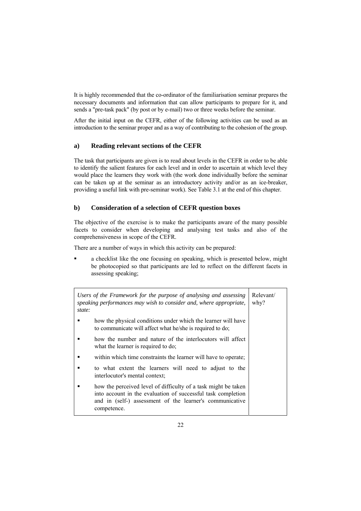It is highly recommended that the co-ordinator of the familiarisation seminar prepares the necessary documents and information that can allow participants to prepare for it, and sends a "pre-task pack" (by post or by e-mail) two or three weeks before the seminar.

After the initial input on the CEFR, either of the following activities can be used as an introduction to the seminar proper and as a way of contributing to the cohesion of the group.

#### **a) Reading relevant sections of the CEFR**

The task that participants are given is to read about levels in the CEFR in order to be able to identify the salient features for each level and in order to ascertain at which level they would place the learners they work with (the work done individually before the seminar can be taken up at the seminar as an introductory activity and/or as an ice-breaker, providing a useful link with pre-seminar work). See Table 3.1 at the end of this chapter.

#### **b) Consideration of a selection of CEFR question boxes**

The objective of the exercise is to make the participants aware of the many possible facets to consider when developing and analysing test tasks and also of the comprehensiveness in scope of the CEFR.

There are a number of ways in which this activity can be prepared:

 a checklist like the one focusing on speaking, which is presented below, might be photocopied so that participants are led to reflect on the different facets in assessing speaking;

| state: | Users of the Framework for the purpose of analysing and assessing<br>speaking performances may wish to consider and, where appropriate,                                                                   | Relevant/<br>why? |
|--------|-----------------------------------------------------------------------------------------------------------------------------------------------------------------------------------------------------------|-------------------|
|        | how the physical conditions under which the learner will have<br>to communicate will affect what he/she is required to do;                                                                                |                   |
|        | how the number and nature of the interlocutors will affect<br>what the learner is required to do;                                                                                                         |                   |
|        | within which time constraints the learner will have to operate;                                                                                                                                           |                   |
|        | to what extent the learners will need to adjust to the<br>interlocutor's mental context;                                                                                                                  |                   |
|        | how the perceived level of difficulty of a task might be taken<br>into account in the evaluation of successful task completion<br>and in (self-) assessment of the learner's communicative<br>competence. |                   |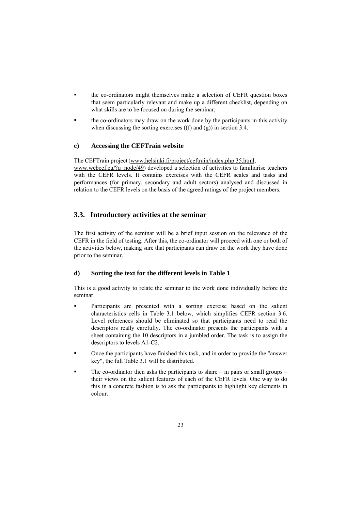- the co-ordinators might themselves make a selection of CEFR question boxes that seem particularly relevant and make up a different checklist, depending on what skills are to be focused on during the seminar;
- the co-ordinators may draw on the work done by the participants in this activity when discussing the sorting exercises ((f) and (g)) in section 3.4.

### **c) Accessing the CEFTrain website**

The CEFTrain project(www.helsinki.fi/project/ceftrain/index.php.35.html, www.webcef.eu/?q=node/49) developed a selection of activities to familiarise teachers with the CEFR levels. It contains exercises with the CEFR scales and tasks and performances (for primary, secondary and adult sectors) analysed and discussed in relation to the CEFR levels on the basis of the agreed ratings of the project members.

# **3.3. Introductory activities at the seminar**

The first activity of the seminar will be a brief input session on the relevance of the CEFR in the field of testing. After this, the co-ordinator will proceed with one or both of the activities below, making sure that participants can draw on the work they have done prior to the seminar.

#### **d) Sorting the text for the different levels in Table 1**

This is a good activity to relate the seminar to the work done individually before the seminar.

- Participants are presented with a sorting exercise based on the salient characteristics cells in Table 3.1 below, which simplifies CEFR section 3.6. Level references should be eliminated so that participants need to read the descriptors really carefully. The co-ordinator presents the participants with a sheet containing the 10 descriptors in a jumbled order. The task is to assign the descriptors to levels A1-C2.
- Once the participants have finished this task, and in order to provide the "answer key", the full Table 3.1 will be distributed.
- The co-ordinator then asks the participants to share in pairs or small groups their views on the salient features of each of the CEFR levels. One way to do this in a concrete fashion is to ask the participants to highlight key elements in colour.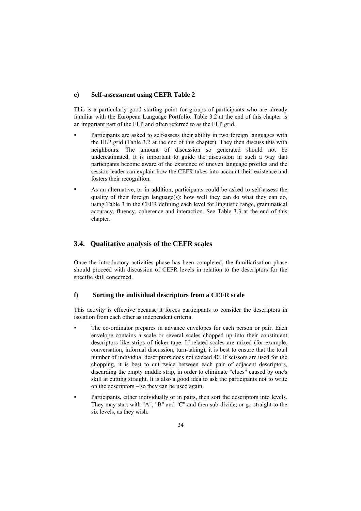#### **e) Self-assessment using CEFR Table 2**

This is a particularly good starting point for groups of participants who are already familiar with the European Language Portfolio. Table 3.2 at the end of this chapter is an important part of the ELP and often referred to as the ELP grid.

- Participants are asked to self-assess their ability in two foreign languages with the ELP grid (Table 3.2 at the end of this chapter). They then discuss this with neighbours. The amount of discussion so generated should not be underestimated. It is important to guide the discussion in such a way that participants become aware of the existence of uneven language profiles and the session leader can explain how the CEFR takes into account their existence and fosters their recognition.
- As an alternative, or in addition, participants could be asked to self-assess the quality of their foreign language(s): how well they can do what they can do, using Table 3 in the CEFR defining each level for linguistic range, grammatical accuracy, fluency, coherence and interaction. See Table 3.3 at the end of this chapter.

# **3.4. Qualitative analysis of the CEFR scales**

Once the introductory activities phase has been completed, the familiarisation phase should proceed with discussion of CEFR levels in relation to the descriptors for the specific skill concerned.

# **f) Sorting the individual descriptors from a CEFR scale**

This activity is effective because it forces participants to consider the descriptors in isolation from each other as independent criteria.

- The co-ordinator prepares in advance envelopes for each person or pair. Each envelope contains a scale or several scales chopped up into their constituent descriptors like strips of ticker tape. If related scales are mixed (for example, conversation, informal discussion, turn-taking), it is best to ensure that the total number of individual descriptors does not exceed 40. If scissors are used for the chopping, it is best to cut twice between each pair of adjacent descriptors, discarding the empty middle strip, in order to eliminate "clues" caused by one's skill at cutting straight. It is also a good idea to ask the participants not to write on the descriptors – so they can be used again.
- Participants, either individually or in pairs, then sort the descriptors into levels. They may start with "A", "B" and "C" and then sub-divide, or go straight to the six levels, as they wish.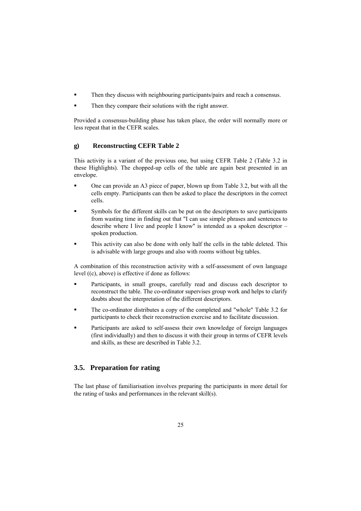- Then they discuss with neighbouring participants/pairs and reach a consensus.
- Then they compare their solutions with the right answer.

Provided a consensus-building phase has taken place, the order will normally more or less repeat that in the CEFR scales.

#### **g) Reconstructing CEFR Table 2**

This activity is a variant of the previous one, but using CEFR Table 2 (Table 3.2 in these Highlights). The chopped-up cells of the table are again best presented in an envelope.

- One can provide an A3 piece of paper, blown up from Table 3.2, but with all the cells empty. Participants can then be asked to place the descriptors in the correct cells.
- Symbols for the different skills can be put on the descriptors to save participants from wasting time in finding out that "I can use simple phrases and sentences to describe where I live and people I know" is intended as a spoken descriptor – spoken production.
- This activity can also be done with only half the cells in the table deleted. This is advisable with large groups and also with rooms without big tables.

A combination of this reconstruction activity with a self-assessment of own language level ((c), above) is effective if done as follows:

- Participants, in small groups, carefully read and discuss each descriptor to reconstruct the table. The co-ordinator supervises group work and helps to clarify doubts about the interpretation of the different descriptors.
- The co-ordinator distributes a copy of the completed and "whole" Table 3.2 for participants to check their reconstruction exercise and to facilitate discussion.
- Participants are asked to self-assess their own knowledge of foreign languages (first individually) and then to discuss it with their group in terms of CEFR levels and skills, as these are described in Table 3.2.

# **3.5. Preparation for rating**

The last phase of familiarisation involves preparing the participants in more detail for the rating of tasks and performances in the relevant skill(s).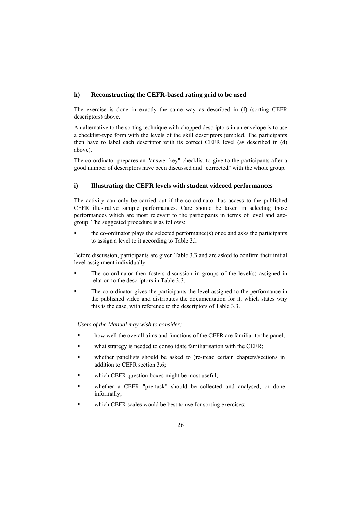#### **h) Reconstructing the CEFR-based rating grid to be used**

The exercise is done in exactly the same way as described in (f) (sorting CEFR descriptors) above.

An alternative to the sorting technique with chopped descriptors in an envelope is to use a checklist-type form with the levels of the skill descriptors jumbled. The participants then have to label each descriptor with its correct CEFR level (as described in (d) above).

The co-ordinator prepares an "answer key" checklist to give to the participants after a good number of descriptors have been discussed and "corrected" with the whole group.

### **i) Illustrating the CEFR levels with student videoed performances**

The activity can only be carried out if the co-ordinator has access to the published CEFR illustrative sample performances. Care should be taken in selecting those performances which are most relevant to the participants in terms of level and agegroup. The suggested procedure is as follows:

 $\bullet$  the co-ordinator plays the selected performance(s) once and asks the participants to assign a level to it according to Table 3.l.

Before discussion, participants are given Table 3.3 and are asked to confirm their initial level assignment individually.

- The co-ordinator then fosters discussion in groups of the level(s) assigned in relation to the descriptors in Table 3.3.
- The co-ordinator gives the participants the level assigned to the performance in the published video and distributes the documentation for it, which states why this is the case, with reference to the descriptors of Table 3.3.

*Users of the Manual may wish to consider:* 

- how well the overall aims and functions of the CEFR are familiar to the panel;
- what strategy is needed to consolidate familiarisation with the CEFR;
- whether panellists should be asked to (re-)read certain chapters/sections in addition to CEFR section 3.6;
- which CEFR question boxes might be most useful;
- whether a CEFR "pre-task" should be collected and analysed, or done informally;
- which CEFR scales would be best to use for sorting exercises;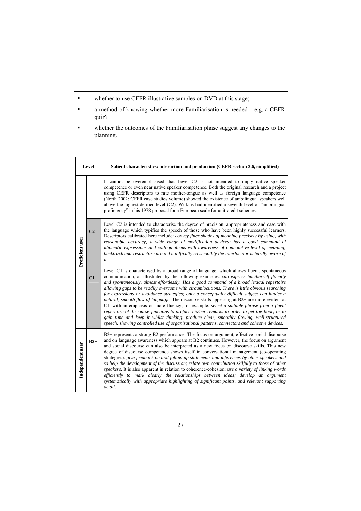- whether to use CEFR illustrative samples on DVD at this stage;
- a method of knowing whether more Familiarisation is needed e.g. a CEFR quiz?
- whether the outcomes of the Familiarisation phase suggest any changes to the planning.

| Level            |                | Salient characteristics: interaction and production (CEFR section 3.6, simplified)                                                                                                                                                                                                                                                                                                                                                                                                                                                                                                                                                                                                                                                                                                                                                                                                                                                                                      |
|------------------|----------------|-------------------------------------------------------------------------------------------------------------------------------------------------------------------------------------------------------------------------------------------------------------------------------------------------------------------------------------------------------------------------------------------------------------------------------------------------------------------------------------------------------------------------------------------------------------------------------------------------------------------------------------------------------------------------------------------------------------------------------------------------------------------------------------------------------------------------------------------------------------------------------------------------------------------------------------------------------------------------|
| Proficient user  |                | It cannot be overemphasised that Level C2 is not intended to imply native speaker<br>competence or even near native speaker competence. Both the original research and a project<br>using CEFR descriptors to rate mother-tongue as well as foreign language competence<br>(North 2002: CEFR case studies volume) showed the existence of ambilingual speakers well<br>above the highest defined level (C2). Wilkins had identified a seventh level of "ambilingual"<br>proficiency" in his 1978 proposal for a European scale for unit-credit schemes.                                                                                                                                                                                                                                                                                                                                                                                                                 |
|                  | C <sub>2</sub> | Level C <sub>2</sub> is intended to characterise the degree of precision, appropriateness and ease with<br>the language which typifies the speech of those who have been highly successful learners.<br>Descriptors calibrated here include: convey finer shades of meaning precisely by using, with<br>reasonable accuracy, a wide range of modification devices; has a good command of<br>idiomatic expressions and colloquialisms with awareness of connotative level of meaning;<br>backtrack and restructure around a difficulty so smoothly the interlocutor is hardly aware of<br>it.                                                                                                                                                                                                                                                                                                                                                                            |
|                  | C1             | Level C1 is characterised by a broad range of language, which allows fluent, spontaneous<br>communication, as illustrated by the following examples: can express him/herself fluently<br>and spontaneously, almost effortlessly. Has a good command of a broad lexical repertoire<br>allowing gaps to be readily overcome with circumlocutions. There is little obvious searching<br>for expressions or avoidance strategies; only a conceptually difficult subject can hinder a<br>natural, smooth flow of language. The discourse skills appearing at B2+ are more evident at<br>C1, with an emphasis on more fluency, for example: select a suitable phrase from a fluent<br>repertoire of discourse functions to preface his/her remarks in order to get the floor, or to<br>gain time and keep it whilst thinking; produce clear, smoothly flowing, well-structured<br>speech, showing controlled use of organisational patterns, connectors and cohesive devices. |
| Independent user | $B2+$          | B2+ represents a strong B2 performance. The focus on argument, effective social discourse<br>and on language awareness which appears at B2 continues. However, the focus on argument<br>and social discourse can also be interpreted as a new focus on discourse skills. This new<br>degree of discourse competence shows itself in conversational management (co-operating<br>strategies): give feedback on and follow-up statements and inferences by other speakers and<br>so help the development of the discussion; relate own contribution skilfully to those of other<br>speakers. It is also apparent in relation to coherence/cohesion: use a variety of linking words<br>efficiently to mark clearly the relationships between ideas; develop an argument<br>systematically with appropriate highlighting of significant points, and relevant supporting<br>detail.                                                                                           |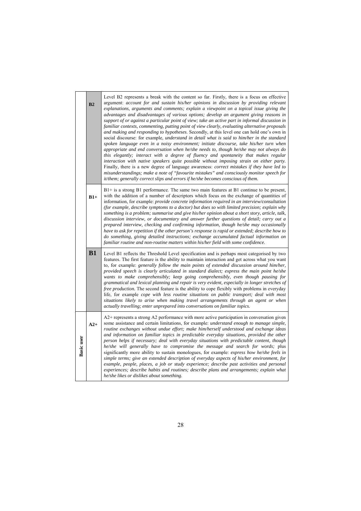|            | B <sub>2</sub> | Level B2 represents a break with the content so far. Firstly, there is a focus on effective<br>argument: account for and sustain his/her opinions in discussion by providing relevant<br>explanations, arguments and comments; explain a viewpoint on a topical issue giving the<br>advantages and disadvantages of various options; develop an argument giving reasons in<br>support of or against a particular point of view; take an active part in informal discussion in<br>familiar contexts, commenting, putting point of view clearly, evaluating alternative proposals<br>and making and responding to hypotheses. Secondly, at this level one can hold one's own in<br>social discourse: for example, understand in detail what is said to him/her in the standard<br>spoken language even in a noisy environment; initiate discourse, take his/her turn when<br>appropriate and end conversation when he/she needs to, though he/she may not always do<br>this elegantly; interact with a degree of fluency and spontaneity that makes regular<br>interaction with native speakers quite possible without imposing strain on either party.<br>Finally, there is a new degree of language awareness: correct mistakes if they have led to<br>misunderstandings; make a note of "favourite mistakes" and consciously monitor speech for<br>it/them; generally correct slips and errors if he/she becomes conscious of them. |
|------------|----------------|--------------------------------------------------------------------------------------------------------------------------------------------------------------------------------------------------------------------------------------------------------------------------------------------------------------------------------------------------------------------------------------------------------------------------------------------------------------------------------------------------------------------------------------------------------------------------------------------------------------------------------------------------------------------------------------------------------------------------------------------------------------------------------------------------------------------------------------------------------------------------------------------------------------------------------------------------------------------------------------------------------------------------------------------------------------------------------------------------------------------------------------------------------------------------------------------------------------------------------------------------------------------------------------------------------------------------------------------------------------------------------------------------------------------------------------|
|            | $B1+$          | B1+ is a strong B1 performance. The same two main features at B1 continue to be present,<br>with the addition of a number of descriptors which focus on the exchange of quantities of<br>information, for example: provide concrete information required in an interview/consultation<br>(for example, describe symptoms to a doctor) but does so with limited precision; explain why<br>something is a problem; summarise and give his/her opinion about a short story, article, talk,<br>discussion interview, or documentary and answer further questions of detail; carry out a<br>prepared interview, checking and confirming information, though he/she may occasionally<br>have to ask for repetition if the other person's response is rapid or extended; describe how to<br>do something, giving detailed instructions; exchange accumulated factual information on<br>familiar routine and non-routine matters within his/her field with some confidence.                                                                                                                                                                                                                                                                                                                                                                                                                                                                  |
|            | B1             | Level B1 reflects the Threshold Level specification and is perhaps most categorised by two<br>features. The first feature is the ability to maintain interaction and get across what you want<br>to, for example: generally follow the main points of extended discussion around him/her,<br>provided speech is clearly articulated in standard dialect; express the main point he/she<br>wants to make comprehensibly; keep going comprehensibly, even though pausing for<br>grammatical and lexical planning and repair is very evident, especially in longer stretches of<br>free production. The second feature is the ability to cope flexibly with problems in everyday<br>life, for example cope with less routine situations on public transport; deal with most<br>situations likely to arise when making travel arrangements through an agent or when<br>actually travelling; enter unprepared into conversations on familiar topics.                                                                                                                                                                                                                                                                                                                                                                                                                                                                                      |
| Basic user | $A2+$          | A2+ represents a strong A2 performance with more active participation in conversation given<br>some assistance and certain limitations, for example: understand enough to manage simple,<br>routine exchanges without undue effort; make him/herself understood and exchange ideas<br>and information on familiar topics in predictable everyday situations, provided the other<br>person helps if necessary; deal with everyday situations with predictable content, though<br>he/she will generally have to compromise the message and search for words; plus<br>significantly more ability to sustain monologues, for example: express how he/she feels in<br>simple terms; give an extended description of everyday aspects of his/her environment, for<br>example, people, places, a job or study experience; describe past activities and personal<br>experiences; describe habits and routines; describe plans and arrangements; explain what<br>he/she likes or dislikes about something.                                                                                                                                                                                                                                                                                                                                                                                                                                    |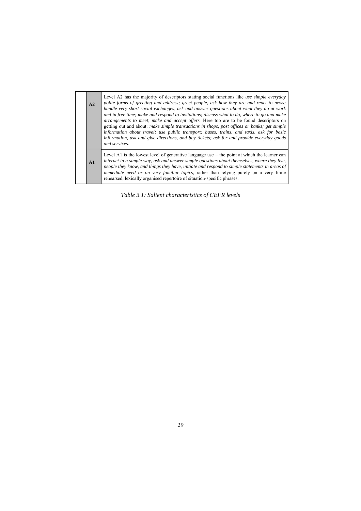| A2             | Level A2 has the majority of descriptors stating social functions like use simple everyday<br>polite forms of greeting and address; greet people, ask how they are and react to news;<br>handle very short social exchanges; ask and answer questions about what they do at work<br>and in free time; make and respond to invitations; discuss what to do, where to go and make<br>arrangements to meet; make and accept offers. Here too are to be found descriptors on<br>getting out and about: make simple transactions in shops, post offices or banks; get simple<br>information about travel; use public transport: buses, trains, and taxis, ask for basic<br>information, ask and give directions, and buy tickets; ask for and provide everyday goods<br>and services. |
|----------------|----------------------------------------------------------------------------------------------------------------------------------------------------------------------------------------------------------------------------------------------------------------------------------------------------------------------------------------------------------------------------------------------------------------------------------------------------------------------------------------------------------------------------------------------------------------------------------------------------------------------------------------------------------------------------------------------------------------------------------------------------------------------------------|
| A <sub>1</sub> | Level A1 is the lowest level of generative language use $-$ the point at which the learner can<br>interact in a simple way, ask and answer simple questions about themselves, where they live,<br>people they know, and things they have, initiate and respond to simple statements in areas of<br><i>immediate need or on very familiar topics</i> , rather than relying purely on a very finite<br>rehearsed, lexically organised repertoire of situation-specific phrases.                                                                                                                                                                                                                                                                                                    |

*Table 3.1: Salient characteristics of CEFR levels*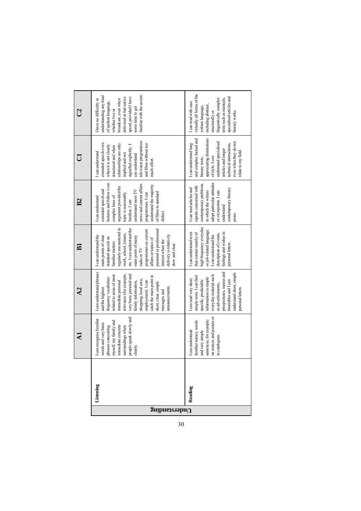|                | Understanding                                                                                                                                                                                                                                                                                                                                                                  |                                                                                                                                                                                                                                                          |
|----------------|--------------------------------------------------------------------------------------------------------------------------------------------------------------------------------------------------------------------------------------------------------------------------------------------------------------------------------------------------------------------------------|----------------------------------------------------------------------------------------------------------------------------------------------------------------------------------------------------------------------------------------------------------|
|                | Listening                                                                                                                                                                                                                                                                                                                                                                      | Reading                                                                                                                                                                                                                                                  |
| A.             | people speak slowly and<br>I can recognise familiar<br>myself, my family and<br>words and very basic<br>immediate concrete<br>phrases concerning<br>surroundings when<br>clearly.                                                                                                                                                                                              | on notices and posters or<br>sentences, for example<br>familiar names, words<br>I can understand<br>and very simple<br>in catalogues.                                                                                                                    |
| A <sub>2</sub> | I can understand phrases<br>very basic personal and<br>relevance (for example,<br>related to areas of most<br>catch the main point in<br>frequency vocabulary<br>shopping, local area,<br>immediate personal<br>family information,<br>employment). I can<br>short, clear, simple<br>announcements.<br>and the highest<br>messages and                                         | prospectuses, menus and<br>understand short, simple<br>everyday material such<br>simple texts. I can find<br>information in simple<br>I can read very short,<br>specific, predictable<br>timetables and I can<br>as advertisements,<br>personal letters. |
| 31             | regularly encountered in<br>etc. I can understand the<br>personal or professional<br>programmes on current<br>work, school, leisure,<br>I can understand the<br>delivery is relatively<br>main points of clear<br>main point of many<br>standard speech on<br>affairs or topics of<br>interest when the<br>familiar matters<br>slow and clear.<br>radio or $\operatorname{TV}$ | high frequency everyday<br>or job-related language<br>feelings and wishes in<br>can understand texts<br>that consist mainly of<br>description of events,<br>I can understand the<br>personal letters.                                                    |
| B2             | lectures and follow even<br>news and current affairs<br>understand the majority<br>argument provided the<br>extended speech and<br>understand most TV<br>of films in standard<br>topic is reasonably<br>programmes. I can<br>complex lines of<br>I can understand<br>familiar. I can<br>dialect                                                                                | adopt particular attitudes<br>contemporary problems<br>reports concerned with<br>I can read articles and<br>contemporary literary<br>in which the writers<br>or viewpoints. I can<br>understand<br>prose.                                                |
|                | television programmes<br>extended speech even<br>and films without too<br>relationships are only<br>when it is not clearly<br>signalled explicitly. I<br>structured and when<br>I can understand<br>implied and not<br>can understand<br>much effort                                                                                                                           | and complex factual and<br>appreciating distinctions<br>understand specialised<br>even when they do not<br>I can understand long<br>technical instructions,<br>articles and longer<br>relate to my field<br>of style. I can<br>literary texts,           |
| S              | familiar with the accent.<br>understanding any kind<br>delivered at fast native<br>speed, provided I have<br>have no difficulty in<br>broadcast, even when<br>of spoken language,<br>some time to get<br>whether live or                                                                                                                                                       | virtually all forms of the<br>specialised articles and<br>linguistically complex<br>texts such as manuals,<br>I can read with ease<br>including abstract,<br>written language,<br>structurally or<br>iterary works.                                      |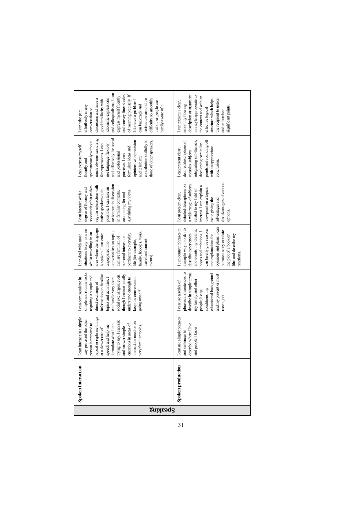| Speaking | Spoken production<br>Spoken interaction | I can interact in a simple<br>repeat or rephrase things<br>I can use simple phrases<br>way provided the other<br>trying to say. I can ask<br>immediate need or on<br>person is prepared to<br>describe where I live<br>questions in areas of<br>formulate what I am<br>very familiar topics.<br>speech and help me<br>and answer simple<br>at a slower rate of<br>and sentences to | phrases and sentences to<br>describe in simple terms<br>simple and routine tasks<br>though I cannot usually<br>information on familiar<br>social exchanges, even<br>requiring a simple and<br>I can communicate in<br>topics and activities. I<br>understand enough to<br>keep the conversation<br>can handle very short<br>I can use a series of<br>direct exchange of<br>going myself. | I can connect phrases in<br>a simple way in order to<br>area where the language<br>situations likely to arise<br>family, hobbies, work,<br>conversation on topics<br>whilst travelling in an<br>pertinent to everyday<br>describe experiences<br>is spoken. I can enter<br>I can deal with most<br>that are familiar, of<br>personal interest or<br>life (for example,<br>travel and current<br>unprepared into<br>events) | a wide range of subjects<br>active part in discussion<br>detailed descriptions on<br>spontaneity that makes<br>regular interaction with<br>possible. I can take an<br>degree of fluency and<br>native speakers quite<br>sustaining my views.<br>I can interact with a<br>in familiar contexts,<br>I can present clear,<br>accounting for and | much obvious searching<br>and effectively for social<br>contribution skilfully to<br>opinions with precision<br>detailed descriptions of<br>those of other speakers.<br>spontaneously without<br>for expressions. I can<br>use language flexibly<br>I can express myself<br>formulate ideas and<br>l can present clear,<br>complex subjects<br>and professional<br>purposes. I can<br>and relate my<br>fluently and | and colloquialisms. I can<br>of meaning precisely. If<br>and convey finer shades<br>description or argument<br>express myself fluently<br>restructure around the<br>discussion and have a<br>idiomatic expressions<br>difficulty so smoothly<br>good familiarity with<br>I do have a problem I<br>that other people are<br>I can present a clear,<br>can backtrack and<br>smoothly flowing<br>ardly aware of it.<br>effortlessly in any<br>conversation or<br>I can take part |
|----------|-----------------------------------------|------------------------------------------------------------------------------------------------------------------------------------------------------------------------------------------------------------------------------------------------------------------------------------------------------------------------------------------------------------------------------------|------------------------------------------------------------------------------------------------------------------------------------------------------------------------------------------------------------------------------------------------------------------------------------------------------------------------------------------------------------------------------------------|----------------------------------------------------------------------------------------------------------------------------------------------------------------------------------------------------------------------------------------------------------------------------------------------------------------------------------------------------------------------------------------------------------------------------|----------------------------------------------------------------------------------------------------------------------------------------------------------------------------------------------------------------------------------------------------------------------------------------------------------------------------------------------|---------------------------------------------------------------------------------------------------------------------------------------------------------------------------------------------------------------------------------------------------------------------------------------------------------------------------------------------------------------------------------------------------------------------|-------------------------------------------------------------------------------------------------------------------------------------------------------------------------------------------------------------------------------------------------------------------------------------------------------------------------------------------------------------------------------------------------------------------------------------------------------------------------------|
|          |                                         | and people I know.                                                                                                                                                                                                                                                                                                                                                                 | educational background<br>and my present or most<br>my family and other<br>conditions, my<br>people, living<br>recent job                                                                                                                                                                                                                                                                | opinions and plans. I can<br>can briefly give reasons<br>and events, my dreams,<br>narrate a story or relate<br>hopes and ambitions.<br>film and describe my<br>and explanations for<br>the plot of a book or<br>reactions                                                                                                                                                                                                 | disadvantages of various<br>interest. I can explain a<br>viewpoint on a topical<br>related to my field of<br>issue giving the<br>advantages and<br>options.                                                                                                                                                                                  | points and rounding off<br>integrating sub-themes,<br>developing particular<br>with an appropriate<br>conclusion                                                                                                                                                                                                                                                                                                    | in a style appropriate to<br>the context and with an<br>structure which helps<br>the recipient to notice<br>significant points.<br>effective logical<br>and remember                                                                                                                                                                                                                                                                                                          |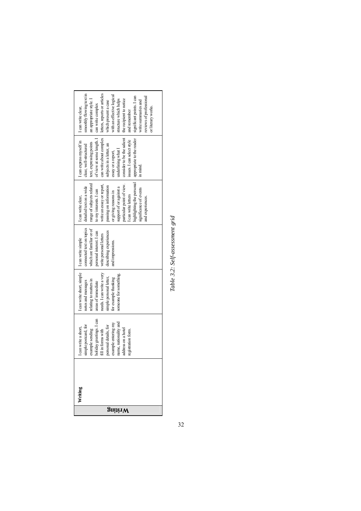Table 3.2: Self-assessment grid *Table 3.2: Self-assessment grid*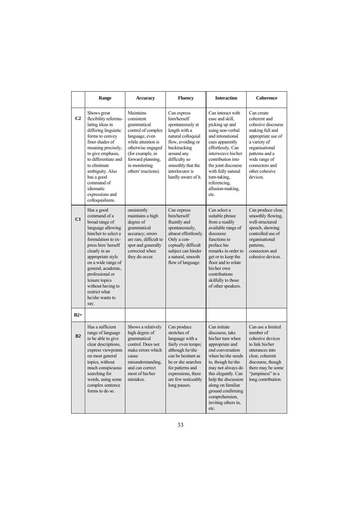|                | Range                                                                                                                                                                                                                                                                                                                       | <b>Accuracy</b>                                                                                                                                                                                            | <b>Fluency</b>                                                                                                                                                                                                           | <b>Interaction</b>                                                                                                                                                                                                                                                                                  | <b>Coherence</b>                                                                                                                                                                                               |
|----------------|-----------------------------------------------------------------------------------------------------------------------------------------------------------------------------------------------------------------------------------------------------------------------------------------------------------------------------|------------------------------------------------------------------------------------------------------------------------------------------------------------------------------------------------------------|--------------------------------------------------------------------------------------------------------------------------------------------------------------------------------------------------------------------------|-----------------------------------------------------------------------------------------------------------------------------------------------------------------------------------------------------------------------------------------------------------------------------------------------------|----------------------------------------------------------------------------------------------------------------------------------------------------------------------------------------------------------------|
| C <sub>2</sub> | Shows great<br>flexibility reformu-<br>lating ideas in<br>differing linguistic<br>forms to convey<br>finer shades of<br>meaning precisely,<br>to give emphasis,<br>to differentiate and<br>to eliminate<br>ambiguity. Also<br>has a good<br>command of<br>idiomatic<br>expressions and<br>colloquialisms.                   | Maintains<br>consistent<br>grammatical<br>control of complex<br>language, even<br>while attention is<br>otherwise engaged<br>(for example, in<br>forward planning,<br>in monitoring<br>others' reactions). | Can express<br>him/herself<br>spontaneously at<br>length with a<br>natural colloquial<br>flow, avoiding or<br>backtracking<br>around any<br>difficulty so<br>smoothly that the<br>interlocutor is<br>hardly aware of it. | Can interact with<br>ease and skill.<br>picking up and<br>using non-verbal<br>and intonational<br>cues apparently<br>effortlessly. Can<br>interweave his/her<br>contribution into<br>the joint discourse<br>with fully natural<br>turn-taking,<br>referencing,<br>allusion-making,<br>etc.          | Can create<br>coherent and<br>cohesive discourse<br>making full and<br>appropriate use of<br>a variety of<br>organisational<br>patterns and a<br>wide range of<br>connectors and<br>other cohesive<br>devices. |
| C1             | Has a good<br>command of a<br>broad range of<br>language allowing<br>him/her to select a<br>formulation to ex-<br>press him/herself<br>clearly in an<br>appropriate style<br>on a wide range of<br>general, academic,<br>professional or<br>leisure topics<br>without having to<br>restrict what<br>he/she wants to<br>say. | onsistently<br>maintains a high<br>degree of<br>grammatical<br>accuracy; errors<br>are rare, difficult to<br>spot and generally<br>corrected when<br>they do occur.                                        | Can express<br>him/herself<br>fluently and<br>spontaneously,<br>almost effortlessly.<br>Only a con-<br>ceptually difficult<br>subject can hinder<br>a natural, smooth<br>flow of language.                               | Can select a<br>suitable phrase<br>from a readily<br>available range of<br>discourse<br>functions to<br>preface his<br>remarks in order to<br>get or to keep the<br>floor and to relate<br>his/her own<br>contributions<br>skilfully to those<br>of other speakers.                                 | Can produce clear,<br>smoothly flowing,<br>well-structured<br>speech, showing<br>controlled use of<br>organisational<br>patterns,<br>connectors and<br>cohesive devices.                                       |
| $B2+$          |                                                                                                                                                                                                                                                                                                                             |                                                                                                                                                                                                            |                                                                                                                                                                                                                          |                                                                                                                                                                                                                                                                                                     |                                                                                                                                                                                                                |
| B2             | Has a sufficient<br>range of language<br>to be able to give<br>clear descriptions,<br>express viewpoints<br>on most general<br>topics, without<br>much conspicuous<br>searching for<br>words, using some<br>complex sentence<br>forms to do so.                                                                             | Shows a relatively<br>high degree of<br>grammatical<br>control. Does not<br>make errors which<br>cause<br>misunderstanding,<br>and can correct<br>most of his/her<br>mistakes.                             | Can produce<br>stretches of<br>language with a<br>fairly even tempo;<br>although he/she<br>can be hesitant as<br>he or she searches<br>for patterns and<br>expressions, there<br>are few noticeably<br>long pauses.      | Can initiate<br>discourse, take<br>his/her turn when<br>appropriate and<br>end conversation<br>when he/she needs<br>to, though he/she<br>may not always do<br>this elegantly. Can<br>help the discussion<br>along on familiar<br>ground confirming<br>comprehension,<br>inviting others in,<br>etc. | Can use a limited<br>number of<br>cohesive devices<br>to link his/her<br>utterances into<br>clear, coherent<br>discourse, though<br>there may be some<br>"jumpiness" in a<br>long contribution.                |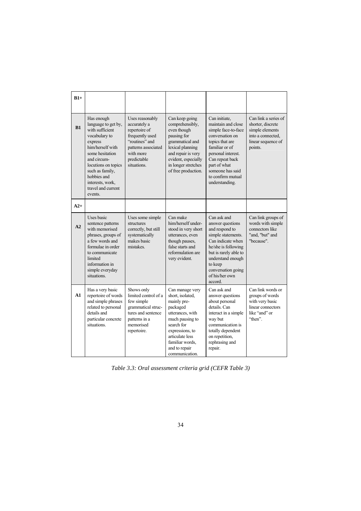| $B1+$ |                                                                                                                                                                                                                                                      |                                                                                                                                                         |                                                                                                                                                                                                                 |                                                                                                                                                                                                                                        |                                                                                                                    |
|-------|------------------------------------------------------------------------------------------------------------------------------------------------------------------------------------------------------------------------------------------------------|---------------------------------------------------------------------------------------------------------------------------------------------------------|-----------------------------------------------------------------------------------------------------------------------------------------------------------------------------------------------------------------|----------------------------------------------------------------------------------------------------------------------------------------------------------------------------------------------------------------------------------------|--------------------------------------------------------------------------------------------------------------------|
| B1    | Has enough<br>language to get by,<br>with sufficient<br>vocabulary to<br>express<br>him/herself with<br>some hesitation<br>and circum-<br>locutions on topics<br>such as family,<br>hobbies and<br>interests, work,<br>travel and current<br>events. | Uses reasonably<br>accurately a<br>repertoire of<br>frequently used<br>"routines" and<br>patterns associated<br>with more<br>predictable<br>situations. | Can keep going<br>comprehensibly,<br>even though<br>pausing for<br>grammatical and<br>lexical planning<br>and repair is very<br>evident, especially<br>in longer stretches<br>of free production.               | Can initiate,<br>maintain and close<br>simple face-to-face<br>conversation on<br>topics that are<br>familiar or of<br>personal interest.<br>Can repeat back<br>part of what<br>someone has said<br>to confirm mutual<br>understanding. | Can link a series of<br>shorter, discrete<br>simple elements<br>into a connected.<br>linear sequence of<br>points. |
| $A2+$ |                                                                                                                                                                                                                                                      |                                                                                                                                                         |                                                                                                                                                                                                                 |                                                                                                                                                                                                                                        |                                                                                                                    |
| A2    | Uses basic<br>sentence patterns<br>with memorised<br>phrases, groups of<br>a few words and<br>formulae in order<br>to communicate<br>limited<br>information in<br>simple everyday<br>situations.                                                     | Uses some simple<br>structures<br>correctly, but still<br>systematically<br>makes basic<br>mistakes.                                                    | Can make<br>him/herself under-<br>stood in very short<br>utterances, even<br>though pauses,<br>false starts and<br>reformulation are<br>very evident.                                                           | Can ask and<br>answer questions<br>and respond to<br>simple statements.<br>Can indicate when<br>he/she is following<br>but is rarely able to<br>understand enough<br>to keep<br>conversation going<br>of his/her own<br>accord.        | Can link groups of<br>words with simple<br>connectors like<br>"and, "but" and<br>"because".                        |
| A1    | Has a very basic<br>repertoire of words<br>and simple phrases<br>related to personal<br>details and<br>particular concrete<br>situations.                                                                                                            | Shows only<br>limited control of a<br>few simple<br>grammatical struc-<br>tures and sentence<br>patterns in a<br>memorised<br>repertoire.               | Can manage very<br>short, isolated,<br>mainly pre-<br>packaged<br>utterances, with<br>much pausing to<br>search for<br>expressions, to<br>articulate less<br>familiar words.<br>and to repair<br>communication. | Can ask and<br>answer questions<br>about personal<br>details. Can<br>interact in a simple<br>way but<br>communication is<br>totally dependent<br>on repetition,<br>rephrasing and<br>repair.                                           | Can link words or<br>groups of words<br>with very basic<br>linear connectors<br>like "and" or<br>"then".           |

*Table 3.3: Oral assessment criteria grid (CEFR Table 3)*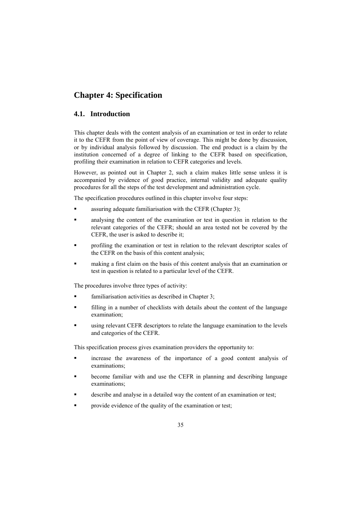# **Chapter 4: Specification**

# **4.1. Introduction**

This chapter deals with the content analysis of an examination or test in order to relate it to the CEFR from the point of view of coverage. This might be done by discussion, or by individual analysis followed by discussion. The end product is a claim by the institution concerned of a degree of linking to the CEFR based on specification, profiling their examination in relation to CEFR categories and levels.

However, as pointed out in Chapter 2, such a claim makes little sense unless it is accompanied by evidence of good practice, internal validity and adequate quality procedures for all the steps of the test development and administration cycle.

The specification procedures outlined in this chapter involve four steps:

- assuring adequate familiarisation with the CEFR (Chapter 3);
- analysing the content of the examination or test in question in relation to the relevant categories of the CEFR; should an area tested not be covered by the CEFR, the user is asked to describe it;
- profiling the examination or test in relation to the relevant descriptor scales of the CEFR on the basis of this content analysis;
- making a first claim on the basis of this content analysis that an examination or test in question is related to a particular level of the CEFR.

The procedures involve three types of activity:

- familiarisation activities as described in Chapter 3;
- filling in a number of checklists with details about the content of the language examination;
- using relevant CEFR descriptors to relate the language examination to the levels and categories of the CEFR.

This specification process gives examination providers the opportunity to:

- increase the awareness of the importance of a good content analysis of examinations;
- become familiar with and use the CEFR in planning and describing language examinations;
- describe and analyse in a detailed way the content of an examination or test;
- provide evidence of the quality of the examination or test;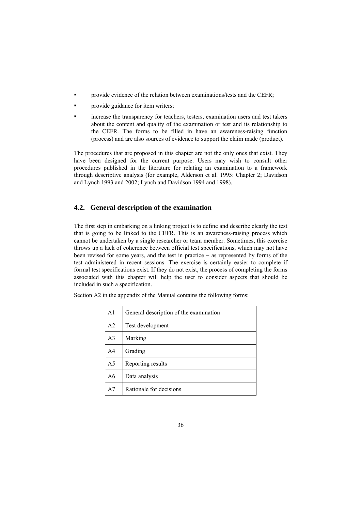- provide evidence of the relation between examinations/tests and the CEFR;
- provide guidance for item writers;
- increase the transparency for teachers, testers, examination users and test takers about the content and quality of the examination or test and its relationship to the CEFR. The forms to be filled in have an awareness-raising function (process) and are also sources of evidence to support the claim made (product).

The procedures that are proposed in this chapter are not the only ones that exist. They have been designed for the current purpose. Users may wish to consult other procedures published in the literature for relating an examination to a framework through descriptive analysis (for example, Alderson et al. 1995: Chapter 2; Davidson and Lynch 1993 and 2002; Lynch and Davidson 1994 and 1998).

# **4.2. General description of the examination**

The first step in embarking on a linking project is to define and describe clearly the test that is going to be linked to the CEFR. This is an awareness-raising process which cannot be undertaken by a single researcher or team member. Sometimes, this exercise throws up a lack of coherence between official test specifications, which may not have been revised for some years, and the test in practice − as represented by forms of the test administered in recent sessions. The exercise is certainly easier to complete if formal test specifications exist. If they do not exist, the process of completing the forms associated with this chapter will help the user to consider aspects that should be included in such a specification.

| A <sub>1</sub> | General description of the examination |
|----------------|----------------------------------------|
| A2             | Test development                       |
| A <sup>3</sup> | Marking                                |
| A <sub>4</sub> | Grading                                |
| A <sub>5</sub> | Reporting results                      |
| A6             | Data analysis                          |
| A7             | Rationale for decisions                |

Section A2 in the appendix of the Manual contains the following forms: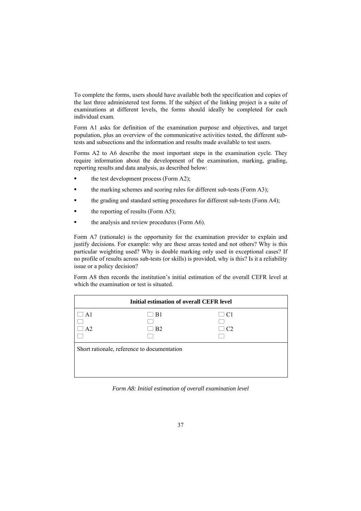To complete the forms, users should have available both the specification and copies of the last three administered test forms. If the subject of the linking project is a suite of examinations at different levels, the forms should ideally be completed for each individual exam.

Form A1 asks for definition of the examination purpose and objectives, and target population, plus an overview of the communicative activities tested, the different subtests and subsections and the information and results made available to test users.

Forms A2 to A6 describe the most important steps in the examination cycle. They require information about the development of the examination, marking, grading, reporting results and data analysis, as described below:

- $\blacksquare$  the test development process (Form A2);
- $\blacksquare$  the marking schemes and scoring rules for different sub-tests (Form A3);
- **the grading and standard setting procedures for different sub-tests (Form A4);**
- the reporting of results (Form A5);
- $\blacksquare$  the analysis and review procedures (Form A6).

Form A7 (rationale) is the opportunity for the examination provider to explain and justify decisions. For example: why are these areas tested and not others? Why is this particular weighting used? Why is double marking only used in exceptional cases? If no profile of results across sub-tests (or skills) is provided, why is this? Is it a reliability issue or a policy decision?

Form A8 then records the institution's initial estimation of the overall CEFR level at which the examination or test is situated.

|                             | Initial estimation of overall CEFR level    |                              |  |
|-----------------------------|---------------------------------------------|------------------------------|--|
| $\Box$ A1<br>A <sub>2</sub> | $\Box$ B1<br><b>B2</b>                      | $\Box$ C1<br>$\overline{C2}$ |  |
|                             | Short rationale, reference to documentation |                              |  |
|                             |                                             |                              |  |

*Form A8: Initial estimation of overall examination level*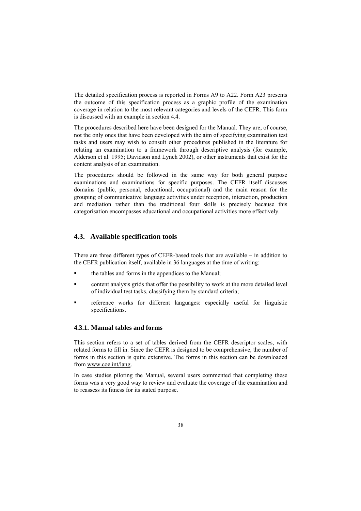The detailed specification process is reported in Forms A9 to A22. Form A23 presents the outcome of this specification process as a graphic profile of the examination coverage in relation to the most relevant categories and levels of the CEFR. This form is discussed with an example in section 4.4.

The procedures described here have been designed for the Manual. They are, of course, not the only ones that have been developed with the aim of specifying examination test tasks and users may wish to consult other procedures published in the literature for relating an examination to a framework through descriptive analysis (for example, Alderson et al. 1995; Davidson and Lynch 2002), or other instruments that exist for the content analysis of an examination.

The procedures should be followed in the same way for both general purpose examinations and examinations for specific purposes. The CEFR itself discusses domains (public, personal, educational, occupational) and the main reason for the grouping of communicative language activities under reception, interaction, production and mediation rather than the traditional four skills is precisely because this categorisation encompasses educational and occupational activities more effectively.

# **4.3. Available specification tools**

There are three different types of CEFR-based tools that are available – in addition to the CEFR publication itself, available in 36 languages at the time of writing:

- $\blacksquare$  the tables and forms in the appendices to the Manual;
- content analysis grids that offer the possibility to work at the more detailed level of individual test tasks, classifying them by standard criteria;
- reference works for different languages: especially useful for linguistic specifications.

## **4.3.1. Manual tables and forms**

This section refers to a set of tables derived from the CEFR descriptor scales, with related forms to fill in. Since the CEFR is designed to be comprehensive, the number of forms in this section is quite extensive. The forms in this section can be downloaded from www.coe.int/lang.

In case studies piloting the Manual, several users commented that completing these forms was a very good way to review and evaluate the coverage of the examination and to reassess its fitness for its stated purpose.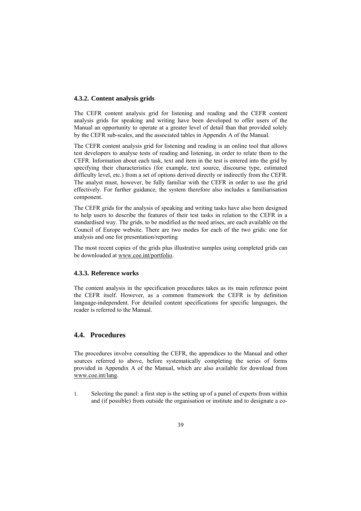#### **4.3.2. Content analysis grids**

The CEFR content analysis grid for listening and reading and the CEFR content analysis grids for speaking and writing have been developed to offer users of the Manual an opportunity to operate at a greater level of detail than that provided solely by the CEFR sub-scales, and the associated tables in Appendix A of the Manual.

The CEFR content analysis grid for listening and reading is an online tool that allows test developers to analyse tests of reading and listening, in order to relate them to the CEFR. Information about each task, text and item in the test is entered into the grid by specifying their characteristics (for example, text source, discourse type, estimated difficulty level, etc.) from a set of options derived directly or indirectly from the CEFR. The analyst must, however, be fully familiar with the CEFR in order to use the grid effectively. For further guidance, the system therefore also includes a familiarisation component.

The CEFR grids for the analysis of speaking and writing tasks have also been designed to help users to describe the features of their test tasks in relation to the CEFR in a standardised way. The grids, to be modified as the need arises, are each available on the Council of Europe website. There are two modes for each of the two grids: one for analysis and one for presentation/reporting

The most recent copies of the grids plus illustrative samples using completed grids can be downloaded at www.coe.int/portfolio.

## **4.3.3. Reference works**

The content analysis in the specification procedures takes as its main reference point the CEFR itself. However, as a common framework the CEFR is by definition language-independent. For detailed content specifications for specific languages, the reader is referred to the Manual.

## **4.4. Procedures**

The procedures involve consulting the CEFR, the appendices to the Manual and other sources referred to above, before systematically completing the series of forms provided in Appendix A of the Manual, which are also available for download from www.coe.int/lang.

1. Selecting the panel: a first step is the setting up of a panel of experts from within and (if possible) from outside the organisation or institute and to designate a co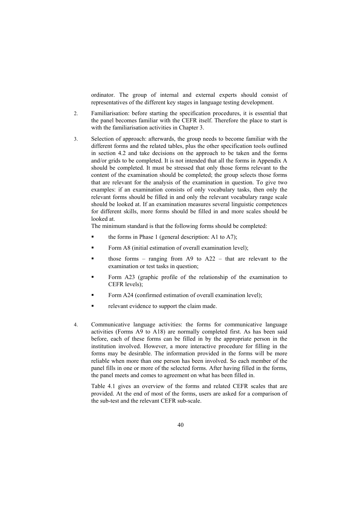ordinator. The group of internal and external experts should consist of representatives of the different key stages in language testing development.

- 2. Familiarisation: before starting the specification procedures, it is essential that the panel becomes familiar with the CEFR itself. Therefore the place to start is with the familiarisation activities in Chapter 3.
- 3. Selection of approach: afterwards, the group needs to become familiar with the different forms and the related tables, plus the other specification tools outlined in section 4.2 and take decisions on the approach to be taken and the forms and/or grids to be completed. It is not intended that all the forms in Appendix A should be completed. It must be stressed that only those forms relevant to the content of the examination should be completed; the group selects those forms that are relevant for the analysis of the examination in question. To give two examples: if an examination consists of only vocabulary tasks, then only the relevant forms should be filled in and only the relevant vocabulary range scale should be looked at. If an examination measures several linguistic competences for different skills, more forms should be filled in and more scales should be looked at.

The minimum standard is that the following forms should be completed:

- $\blacksquare$  the forms in Phase 1 (general description: A1 to A7);
- Form A8 (initial estimation of overall examination level);
- those forms ranging from A9 to A22 that are relevant to the examination or test tasks in question;
- Form A23 (graphic profile of the relationship of the examination to CEFR levels);
- Form A24 (confirmed estimation of overall examination level);
- relevant evidence to support the claim made.
- 4. Communicative language activities: the forms for communicative language activities (Forms A9 to A18) are normally completed first. As has been said before, each of these forms can be filled in by the appropriate person in the institution involved. However, a more interactive procedure for filling in the forms may be desirable. The information provided in the forms will be more reliable when more than one person has been involved. So each member of the panel fills in one or more of the selected forms. After having filled in the forms, the panel meets and comes to agreement on what has been filled in.

Table 4.1 gives an overview of the forms and related CEFR scales that are provided. At the end of most of the forms, users are asked for a comparison of the sub-test and the relevant CEFR sub-scale.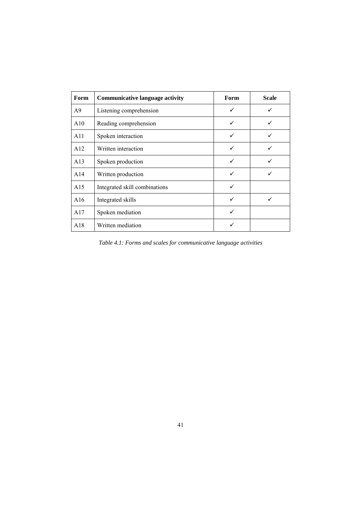| Form | <b>Communicative language activity</b> | Form | <b>Scale</b> |
|------|----------------------------------------|------|--------------|
| A9   | Listening comprehension                | ✓    |              |
| A10  | Reading comprehension                  | ✓    |              |
| A11  | Spoken interaction                     | ✓    |              |
| A12  | Written interaction                    | ✓    |              |
| A13  | Spoken production                      | ✓    |              |
| A14  | Written production                     | ✓    |              |
| A15  | Integrated skill combinations          | ✓    |              |
| A16  | Integrated skills                      | ✓    |              |
| A17  | Spoken mediation                       | ✓    |              |
| A18  | Written mediation                      |      |              |

*Table 4.1: Forms and scales for communicative language activities*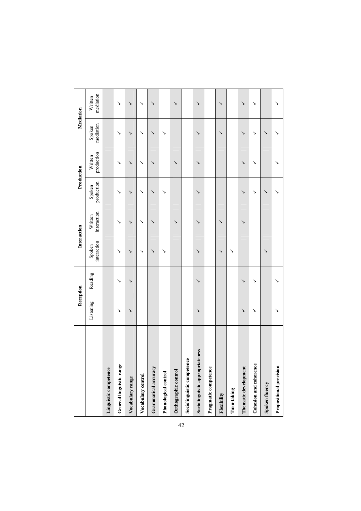|                                 |           | Reception | Interaction           |                        |                      | Production            | Mediation           |                      |
|---------------------------------|-----------|-----------|-----------------------|------------------------|----------------------|-----------------------|---------------------|----------------------|
|                                 | Listening | Reading   | interaction<br>Spoken | interaction<br>Written | production<br>Spoken | production<br>Written | mediation<br>Spoken | mediation<br>Written |
| Linguistic competence           |           |           |                       |                        |                      |                       |                     |                      |
| General linguistic range        | ↘         | ↘         | ↘                     | ↘                      | ↘                    | ↘                     | ↘                   | ↘                    |
| Vocabulary range                | ゝ         | ↘         | ↘                     | ↘                      | ↘                    | ↘                     | ↘                   | ↘                    |
| Vocabulary control              |           |           | ↘                     | ↘                      | ↘                    | ↘                     | ↘                   | ↘                    |
| Grammatical accuracy            |           |           | ↘                     | ↘                      | ↘                    | ↘                     | ↘                   | ↘                    |
| Phonological control            |           |           | ↘                     |                        | ゝ                    |                       | ↘                   |                      |
| Orthographic control            |           |           |                       | ↘                      |                      | ↘                     |                     | ↘                    |
| Sociolinguistic competence      |           |           |                       |                        |                      |                       |                     |                      |
| Sociolinguistic appropriateness | ↘         | ↘         | ↘                     | ↘                      | ↘                    | ↘                     | ↘                   | ↘                    |
| Pragmatic competence            |           |           |                       |                        |                      |                       |                     |                      |
| Flexibility                     |           |           | ↘                     | ↘                      |                      |                       | ↘                   | ↘                    |
| Turn-taking                     |           |           | ↘                     |                        |                      |                       |                     |                      |
| Thematic development            | ↘         | ↘         |                       | ↘                      | ↘                    | ↘                     | ↘                   | ↘                    |
| Cohesion and coherence          | ↘         | ↘         |                       |                        | ↘                    | ↘                     | ↘                   | ↘                    |
| <b>Spoken fluency</b>           |           |           | ↘                     |                        | ゝ                    |                       | ゝ                   |                      |
| Propositional precision         |           |           |                       |                        |                      |                       | ↘                   |                      |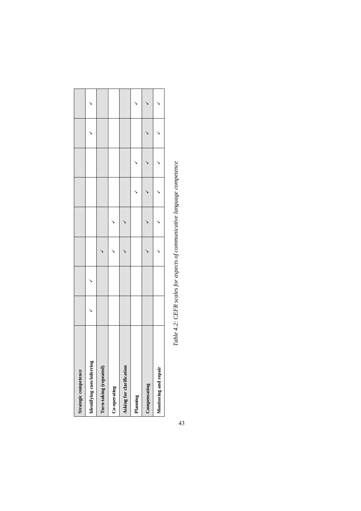| Strategic competence       |  |  |  |  |  |
|----------------------------|--|--|--|--|--|
| Identifying cues/inferring |  |  |  |  |  |
| Turn-taking (repeated)     |  |  |  |  |  |
| Co-operating               |  |  |  |  |  |
| Asking for clarification   |  |  |  |  |  |
| Planning                   |  |  |  |  |  |
| Compensating               |  |  |  |  |  |
| Monitoring and repair      |  |  |  |  |  |
|                            |  |  |  |  |  |

Table 4.2: CEFR scales for aspects of communicative language competence *Table 4.2: CEFR scales for aspects of communicative language competence*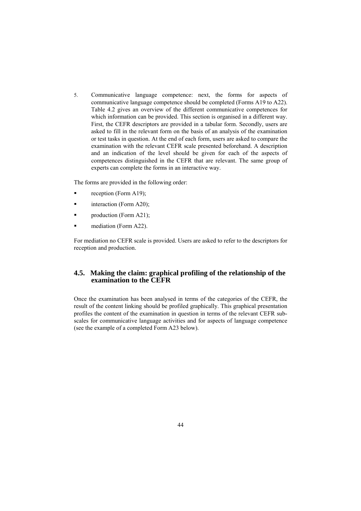5. Communicative language competence: next, the forms for aspects of communicative language competence should be completed (Forms A19 to A22). Table 4.2 gives an overview of the different communicative competences for which information can be provided. This section is organised in a different way. First, the CEFR descriptors are provided in a tabular form. Secondly, users are asked to fill in the relevant form on the basis of an analysis of the examination or test tasks in question. At the end of each form, users are asked to compare the examination with the relevant CEFR scale presented beforehand. A description and an indication of the level should be given for each of the aspects of competences distinguished in the CEFR that are relevant. The same group of experts can complete the forms in an interactive way.

The forms are provided in the following order:

- $reception (Form A19);$
- **interaction** (Form A20):
- $\blacksquare$  production (Form A21);
- mediation (Form A22).

For mediation no CEFR scale is provided. Users are asked to refer to the descriptors for reception and production.

# **4.5. Making the claim: graphical profiling of the relationship of the examination to the CEFR**

Once the examination has been analysed in terms of the categories of the CEFR, the result of the content linking should be profiled graphically. This graphical presentation profiles the content of the examination in question in terms of the relevant CEFR subscales for communicative language activities and for aspects of language competence (see the example of a completed Form A23 below).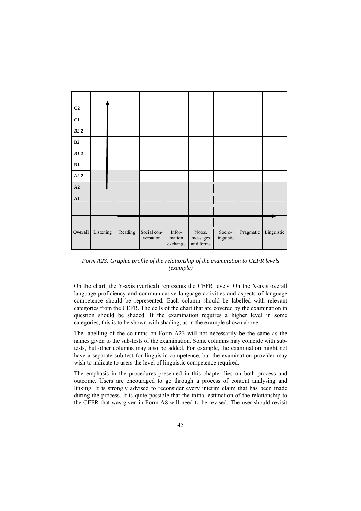| C2             |           |         |                          |                              |                                 |                      |           |            |
|----------------|-----------|---------|--------------------------|------------------------------|---------------------------------|----------------------|-----------|------------|
| C1             |           |         |                          |                              |                                 |                      |           |            |
| B2.2           |           |         |                          |                              |                                 |                      |           |            |
| B2             |           |         |                          |                              |                                 |                      |           |            |
| B1.2           |           |         |                          |                              |                                 |                      |           |            |
| B1             |           |         |                          |                              |                                 |                      |           |            |
| A2.2           |           |         |                          |                              |                                 |                      |           |            |
| A2             |           |         |                          |                              |                                 |                      |           |            |
| A1             |           |         |                          |                              |                                 |                      |           |            |
|                |           |         |                          |                              |                                 |                      |           |            |
| <b>Overall</b> | Listening | Reading | Social con-<br>versation | Infor-<br>mation<br>exchange | Notes,<br>messages<br>and forms | Socio-<br>linguistic | Pragmatic | Linguistic |

*Form A23: Graphic profile of the relationship of the examination to CEFR levels (example)* 

On the chart, the Y-axis (vertical) represents the CEFR levels. On the X-axis overall language proficiency and communicative language activities and aspects of language competence should be represented. Each column should be labelled with relevant categories from the CEFR. The cells of the chart that are covered by the examination in question should be shaded. If the examination requires a higher level in some categories, this is to be shown with shading, as in the example shown above.

The labelling of the columns on Form A23 will not necessarily be the same as the names given to the sub-tests of the examination. Some columns may coincide with subtests, but other columns may also be added. For example, the examination might not have a separate sub-test for linguistic competence, but the examination provider may wish to indicate to users the level of linguistic competence required.

The emphasis in the procedures presented in this chapter lies on both process and outcome. Users are encouraged to go through a process of content analysing and linking. It is strongly advised to reconsider every interim claim that has been made during the process. It is quite possible that the initial estimation of the relationship to the CEFR that was given in Form A8 will need to be revised. The user should revisit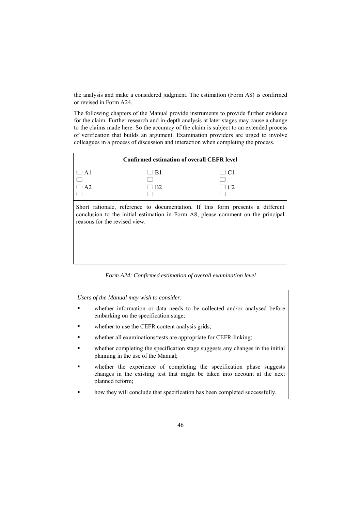the analysis and make a considered judgment. The estimation (Form A8) is confirmed or revised in Form A24.

The following chapters of the Manual provide instruments to provide further evidence for the claim. Further research and in-depth analysis at later stages may cause a change to the claims made here. So the accuracy of the claim is subject to an extended process of verification that builds an argument. Examination providers are urged to involve colleagues in a process of discussion and interaction when completing the process.



*Form A24: Confirmed estimation of overall examination level* 

*Users of the Manual may wish to consider:*  whether information or data needs to be collected and/or analysed before embarking on the specification stage; whether to use the CEFR content analysis grids; whether all examinations/tests are appropriate for CEFR-linking;

- whether completing the specification stage suggests any changes in the initial planning in the use of the Manual;
- whether the experience of completing the specification phase suggests changes in the existing test that might be taken into account at the next planned reform;
- how they will conclude that specification has been completed successfully.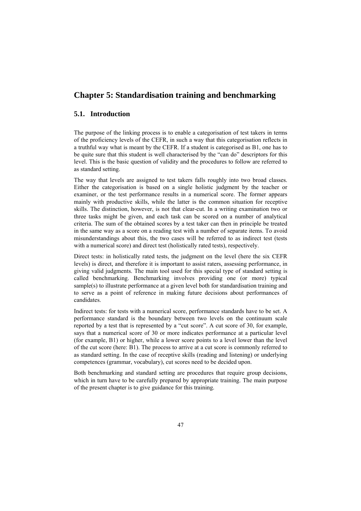# **Chapter 5: Standardisation training and benchmarking**

## **5.1. Introduction**

The purpose of the linking process is to enable a categorisation of test takers in terms of the proficiency levels of the CEFR, in such a way that this categorisation reflects in a truthful way what is meant by the CEFR. If a student is categorised as B1, one has to be quite sure that this student is well characterised by the "can do" descriptors for this level. This is the basic question of validity and the procedures to follow are referred to as standard setting.

The way that levels are assigned to test takers falls roughly into two broad classes. Either the categorisation is based on a single holistic judgment by the teacher or examiner, or the test performance results in a numerical score. The former appears mainly with productive skills, while the latter is the common situation for receptive skills. The distinction, however, is not that clear-cut. In a writing examination two or three tasks might be given, and each task can be scored on a number of analytical criteria. The sum of the obtained scores by a test taker can then in principle be treated in the same way as a score on a reading test with a number of separate items. To avoid misunderstandings about this, the two cases will be referred to as indirect test (tests with a numerical score) and direct test (holistically rated tests), respectively.

Direct tests: in holistically rated tests, the judgment on the level (here the six CEFR levels) is direct, and therefore it is important to assist raters, assessing performance, in giving valid judgments. The main tool used for this special type of standard setting is called benchmarking. Benchmarking involves providing one (or more) typical sample(s) to illustrate performance at a given level both for standardisation training and to serve as a point of reference in making future decisions about performances of candidates.

Indirect tests: for tests with a numerical score, performance standards have to be set. A performance standard is the boundary between two levels on the continuum scale reported by a test that is represented by a "cut score". A cut score of 30, for example, says that a numerical score of 30 or more indicates performance at a particular level (for example, B1) or higher, while a lower score points to a level lower than the level of the cut score (here: B1). The process to arrive at a cut score is commonly referred to as standard setting. In the case of receptive skills (reading and listening) or underlying competences (grammar, vocabulary), cut scores need to be decided upon.

Both benchmarking and standard setting are procedures that require group decisions, which in turn have to be carefully prepared by appropriate training. The main purpose of the present chapter is to give guidance for this training.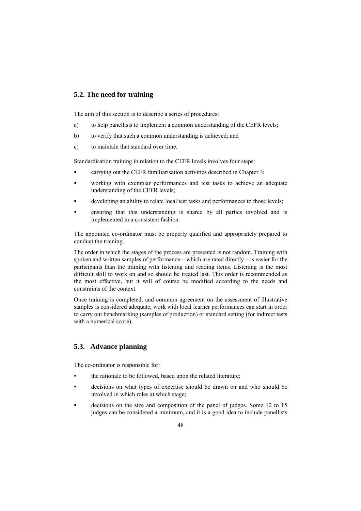# **5.2. The need for training**

The aim of this section is to describe a series of procedures:

- a) to help panellists to implement a common understanding of the CEFR levels;
- b) to verify that such a common understanding is achieved; and
- c) to maintain that standard over time.

Standardisation training in relation to the CEFR levels involves four steps:

- carrying out the CEFR familiarisation activities described in Chapter 3;
- working with exemplar performances and test tasks to achieve an adequate understanding of the CEFR levels;
- developing an ability to relate local test tasks and performances to those levels;
- ensuring that this understanding is shared by all parties involved and is implemented in a consistent fashion.

The appointed co-ordinator must be properly qualified and appropriately prepared to conduct the training.

The order in which the stages of the process are presented is not random. Training with spoken and written samples of performance – which are rated directly – is easier for the participants than the training with listening and reading items. Listening is the most difficult skill to work on and so should be treated last. This order is recommended as the most effective, but it will of course be modified according to the needs and constraints of the context.

Once training is completed, and common agreement on the assessment of illustrative samples is considered adequate, work with local learner performances can start in order to carry out benchmarking (samples of production) or standard setting (for indirect tests with a numerical score).

## **5.3. Advance planning**

The co-ordinator is responsible for:

- the rationale to be followed, based upon the related literature;
- decisions on what types of expertise should be drawn on and who should be involved in which roles at which stage;
- decisions on the size and composition of the panel of judges. Some 12 to 15 judges can be considered a minimum, and it is a good idea to include panellists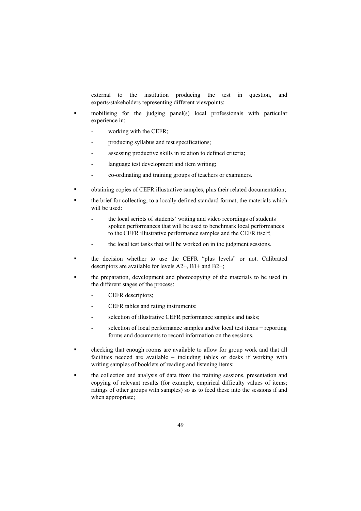external to the institution producing the test in question, and experts/stakeholders representing different viewpoints;

- **n** mobilising for the judging panel(s) local professionals with particular experience in:
	- working with the CEFR;
	- producing syllabus and test specifications;
	- assessing productive skills in relation to defined criteria;
	- language test development and item writing;
	- co-ordinating and training groups of teachers or examiners.
- obtaining copies of CEFR illustrative samples, plus their related documentation;
- the brief for collecting, to a locally defined standard format, the materials which will be used:
	- the local scripts of students' writing and video recordings of students' spoken performances that will be used to benchmark local performances to the CEFR illustrative performance samples and the CEFR itself;
	- the local test tasks that will be worked on in the judgment sessions.
- the decision whether to use the CEFR "plus levels" or not. Calibrated descriptors are available for levels A2+, B1+ and B2+;
- the preparation, development and photocopying of the materials to be used in the different stages of the process:
	- CEFR descriptors;
	- CEFR tables and rating instruments;
	- selection of illustrative CEFR performance samples and tasks:
	- selection of local performance samples and/or local test items − reporting forms and documents to record information on the sessions.
- checking that enough rooms are available to allow for group work and that all facilities needed are available – including tables or desks if working with writing samples of booklets of reading and listening items;
- the collection and analysis of data from the training sessions, presentation and copying of relevant results (for example, empirical difficulty values of items; ratings of other groups with samples) so as to feed these into the sessions if and when appropriate: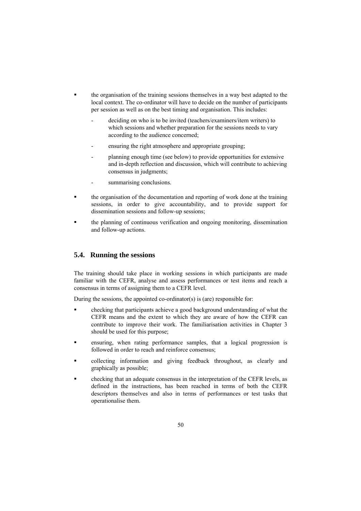- the organisation of the training sessions themselves in a way best adapted to the local context. The co-ordinator will have to decide on the number of participants per session as well as on the best timing and organisation. This includes:
	- deciding on who is to be invited (teachers/examiners/item writers) to which sessions and whether preparation for the sessions needs to vary according to the audience concerned;
	- ensuring the right atmosphere and appropriate grouping;
	- planning enough time (see below) to provide opportunities for extensive and in-depth reflection and discussion, which will contribute to achieving consensus in judgments;
	- summarising conclusions.
- the organisation of the documentation and reporting of work done at the training sessions, in order to give accountability, and to provide support for dissemination sessions and follow-up sessions;
- the planning of continuous verification and ongoing monitoring, dissemination and follow-up actions.

# **5.4. Running the sessions**

The training should take place in working sessions in which participants are made familiar with the CEFR, analyse and assess performances or test items and reach a consensus in terms of assigning them to a CEFR level.

During the sessions, the appointed co-ordinator(s) is (are) responsible for:

- checking that participants achieve a good background understanding of what the CEFR means and the extent to which they are aware of how the CEFR can contribute to improve their work. The familiarisation activities in Chapter 3 should be used for this purpose;
- ensuring, when rating performance samples, that a logical progression is followed in order to reach and reinforce consensus;
- collecting information and giving feedback throughout, as clearly and graphically as possible;
- checking that an adequate consensus in the interpretation of the CEFR levels, as defined in the instructions, has been reached in terms of both the CEFR descriptors themselves and also in terms of performances or test tasks that operationalise them.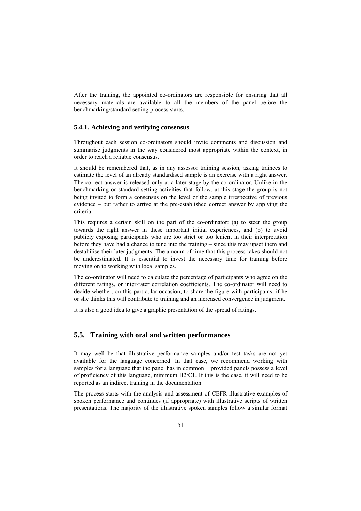After the training, the appointed co-ordinators are responsible for ensuring that all necessary materials are available to all the members of the panel before the benchmarking/standard setting process starts.

### **5.4.1. Achieving and verifying consensus**

Throughout each session co-ordinators should invite comments and discussion and summarise judgments in the way considered most appropriate within the context, in order to reach a reliable consensus.

It should be remembered that, as in any assessor training session, asking trainees to estimate the level of an already standardised sample is an exercise with a right answer. The correct answer is released only at a later stage by the co-ordinator. Unlike in the benchmarking or standard setting activities that follow, at this stage the group is not being invited to form a consensus on the level of the sample irrespective of previous evidence – but rather to arrive at the pre-established correct answer by applying the criteria.

This requires a certain skill on the part of the co-ordinator: (a) to steer the group towards the right answer in these important initial experiences, and (b) to avoid publicly exposing participants who are too strict or too lenient in their interpretation before they have had a chance to tune into the training – since this may upset them and destabilise their later judgments. The amount of time that this process takes should not be underestimated. It is essential to invest the necessary time for training before moving on to working with local samples.

The co-ordinator will need to calculate the percentage of participants who agree on the different ratings, or inter-rater correlation coefficients. The co-ordinator will need to decide whether, on this particular occasion, to share the figure with participants, if he or she thinks this will contribute to training and an increased convergence in judgment.

It is also a good idea to give a graphic presentation of the spread of ratings.

# **5.5. Training with oral and written performances**

It may well be that illustrative performance samples and/or test tasks are not yet available for the language concerned. In that case, we recommend working with samples for a language that the panel has in common – provided panels possess a level of proficiency of this language, minimum B2/C1. If this is the case, it will need to be reported as an indirect training in the documentation.

The process starts with the analysis and assessment of CEFR illustrative examples of spoken performance and continues (if appropriate) with illustrative scripts of written presentations. The majority of the illustrative spoken samples follow a similar format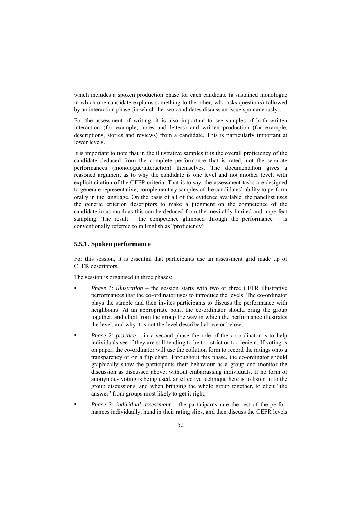which includes a spoken production phase for each candidate (a sustained monologue in which one candidate explains something to the other, who asks questions) followed by an interaction phase (in which the two candidates discuss an issue spontaneously).

For the assessment of writing, it is also important to see samples of both written interaction (for example, notes and letters) and written production (for example, descriptions, stories and reviews) from a candidate. This is particularly important at lower levels.

It is important to note that in the illustrative samples it is the overall proficiency of the candidate deduced from the complete performance that is rated, not the separate performances (monologue/interaction) themselves. The documentation gives a reasoned argument as to why the candidate is one level and not another level, with explicit citation of the CEFR criteria. That is to say, the assessment tasks are designed to generate representative, complementary samples of the candidates' ability to perform orally in the language. On the basis of all of the evidence available, the panellist uses the generic criterion descriptors to make a judgment on the competence of the candidate in as much as this can be deduced from the inevitably limited and imperfect sampling. The result – the competence glimpsed through the performance – is conventionally referred to in English as "proficiency".

### **5.5.1. Spoken performance**

For this session, it is essential that participants use an assessment grid made up of CEFR descriptors.

The session is organised in three phases:

- *Phase 1: illustration* the session starts with two or three CEFR illustrative performances that the co-ordinator uses to introduce the levels. The co-ordinator plays the sample and then invites participants to discuss the performance with neighbours. At an appropriate point the co-ordinator should bring the group together, and elicit from the group the way in which the performance illustrates the level, and why it is not the level described above or below;
- **Phase 2: practice** in a second phase the role of the co-ordinator is to help individuals see if they are still tending to be too strict or too lenient. If voting is on paper, the co-ordinator will use the collation form to record the ratings onto a transparency or on a flip chart. Throughout this phase, the co-ordinator should graphically show the participants their behaviour as a group and monitor the discussion as discussed above, without embarrassing individuals. If no form of anonymous voting is being used, an effective technique here is to listen in to the group discussions, and when bringing the whole group together, to elicit "the answer" from groups most likely to get it right;
- *Phase 3: individual assessment* the participants rate the rest of the performances individually, hand in their rating slips, and then discuss the CEFR levels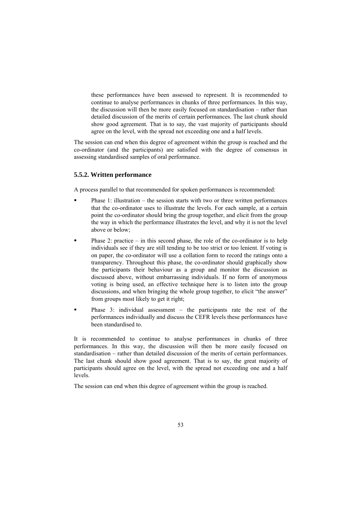these performances have been assessed to represent. It is recommended to continue to analyse performances in chunks of three performances. In this way, the discussion will then be more easily focused on standardisation – rather than detailed discussion of the merits of certain performances. The last chunk should show good agreement. That is to say, the vast majority of participants should agree on the level, with the spread not exceeding one and a half levels.

The session can end when this degree of agreement within the group is reached and the co-ordinator (and the participants) are satisfied with the degree of consensus in assessing standardised samples of oral performance.

#### **5.5.2. Written performance**

A process parallel to that recommended for spoken performances is recommended:

- Phase 1: illustration the session starts with two or three written performances that the co-ordinator uses to illustrate the levels. For each sample, at a certain point the co-ordinator should bring the group together, and elicit from the group the way in which the performance illustrates the level, and why it is not the level above or below;
- Phase 2: practice in this second phase, the role of the co-ordinator is to help individuals see if they are still tending to be too strict or too lenient. If voting is on paper, the co-ordinator will use a collation form to record the ratings onto a transparency. Throughout this phase, the co-ordinator should graphically show the participants their behaviour as a group and monitor the discussion as discussed above, without embarrassing individuals. If no form of anonymous voting is being used, an effective technique here is to listen into the group discussions, and when bringing the whole group together, to elicit "the answer" from groups most likely to get it right;
- Phase 3: individual assessment the participants rate the rest of the performances individually and discuss the CEFR levels these performances have been standardised to.

It is recommended to continue to analyse performances in chunks of three performances. In this way, the discussion will then be more easily focused on standardisation – rather than detailed discussion of the merits of certain performances. The last chunk should show good agreement. That is to say, the great majority of participants should agree on the level, with the spread not exceeding one and a half levels.

The session can end when this degree of agreement within the group is reached.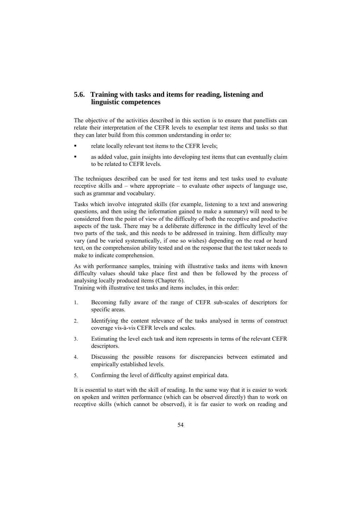## **5.6. Training with tasks and items for reading, listening and linguistic competences**

The objective of the activities described in this section is to ensure that panellists can relate their interpretation of the CEFR levels to exemplar test items and tasks so that they can later build from this common understanding in order to:

- relate locally relevant test items to the CEFR levels;
- as added value, gain insights into developing test items that can eventually claim to be related to CEFR levels.

The techniques described can be used for test items and test tasks used to evaluate receptive skills and – where appropriate – to evaluate other aspects of language use, such as grammar and vocabulary.

Tasks which involve integrated skills (for example, listening to a text and answering questions, and then using the information gained to make a summary) will need to be considered from the point of view of the difficulty of both the receptive and productive aspects of the task. There may be a deliberate difference in the difficulty level of the two parts of the task, and this needs to be addressed in training. Item difficulty may vary (and be varied systematically, if one so wishes) depending on the read or heard text, on the comprehension ability tested and on the response that the test taker needs to make to indicate comprehension.

As with performance samples, training with illustrative tasks and items with known difficulty values should take place first and then be followed by the process of analysing locally produced items (Chapter 6).

Training with illustrative test tasks and items includes, in this order:

- 1. Becoming fully aware of the range of CEFR sub-scales of descriptors for specific areas.
- 2. Identifying the content relevance of the tasks analysed in terms of construct coverage vis-à-vis CEFR levels and scales.
- 3. Estimating the level each task and item represents in terms of the relevant CEFR descriptors.
- 4. Discussing the possible reasons for discrepancies between estimated and empirically established levels.
- 5. Confirming the level of difficulty against empirical data.

It is essential to start with the skill of reading. In the same way that it is easier to work on spoken and written performance (which can be observed directly) than to work on receptive skills (which cannot be observed), it is far easier to work on reading and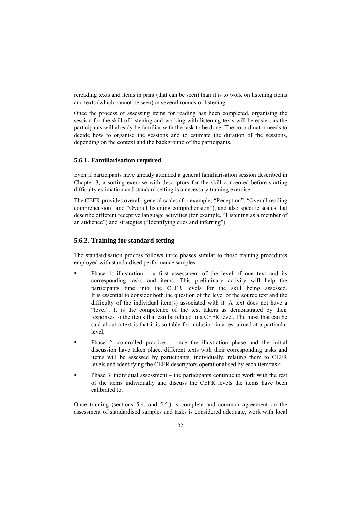rereading texts and items in print (that can be seen) than it is to work on listening items and texts (which cannot be seen) in several rounds of listening.

Once the process of assessing items for reading has been completed, organising the session for the skill of listening and working with listening texts will be easier, as the participants will already be familiar with the task to be done. The co-ordinator needs to decide how to organise the sessions and to estimate the duration of the sessions, depending on the context and the background of the participants.

## **5.6.1. Familiarisation required**

Even if participants have already attended a general familiarisation session described in Chapter 3, a sorting exercise with descriptors for the skill concerned before starting difficulty estimation and standard setting is a necessary training exercise.

The CEFR provides overall, general scales (for example, "Reception", "Overall reading comprehension" and "Overall listening comprehension"), and also specific scales that describe different receptive language activities (for example, "Listening as a member of an audience") and strategies ("Identifying cues and inferring").

#### **5.6.2. Training for standard setting**

The standardisation process follows three phases similar to those training procedures employed with standardised performance samples:

- Phase 1: illustration a first assessment of the level of one text and its corresponding tasks and items. This preliminary activity will help the participants tune into the CEFR levels for the skill being assessed. It is essential to consider both the question of the level of the source text and the difficulty of the individual item(s) associated with it. A text does not have a "level". It is the competence of the test takers as demonstrated by their responses to the items that can be related to a CEFR level. The most that can be said about a text is that it is suitable for inclusion in a test aimed at a particular level;
- Phase 2: controlled practice once the illustration phase and the initial discussion have taken place, different texts with their corresponding tasks and items will be assessed by participants, individually, relating them to CEFR levels and identifying the CEFR descriptors operationalised by each item/task;
- Phase 3: individual assessment the participants continue to work with the rest of the items individually and discuss the CEFR levels the items have been calibrated to.

Once training (sections 5.4. and 5.5.) is complete and common agreement on the assessment of standardised samples and tasks is considered adequate, work with local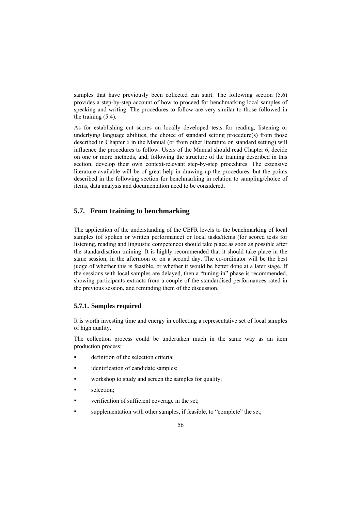samples that have previously been collected can start. The following section (5.6) provides a step-by-step account of how to proceed for benchmarking local samples of speaking and writing. The procedures to follow are very similar to those followed in the training (5.4).

As for establishing cut scores on locally developed tests for reading, listening or underlying language abilities, the choice of standard setting procedure(s) from those described in Chapter 6 in the Manual (or from other literature on standard setting) will influence the procedures to follow. Users of the Manual should read Chapter 6, decide on one or more methods, and, following the structure of the training described in this section, develop their own context-relevant step-by-step procedures. The extensive literature available will be of great help in drawing up the procedures, but the points described in the following section for benchmarking in relation to sampling/choice of items, data analysis and documentation need to be considered.

# **5.7. From training to benchmarking**

The application of the understanding of the CEFR levels to the benchmarking of local samples (of spoken or written performance) or local tasks/items (for scored tests for listening, reading and linguistic competence) should take place as soon as possible after the standardisation training. It is highly recommended that it should take place in the same session, in the afternoon or on a second day. The co-ordinator will be the best judge of whether this is feasible, or whether it would be better done at a later stage. If the sessions with local samples are delayed, then a "tuning-in" phase is recommended, showing participants extracts from a couple of the standardised performances rated in the previous session, and reminding them of the discussion.

## **5.7.1. Samples required**

It is worth investing time and energy in collecting a representative set of local samples of high quality.

The collection process could be undertaken much in the same way as an item production process:

- election of the selection criteria:
- **identification of candidate samples:**
- **workshop to study and screen the samples for quality;**
- **selection**
- verification of sufficient coverage in the set;
- supplementation with other samples, if feasible, to "complete" the set;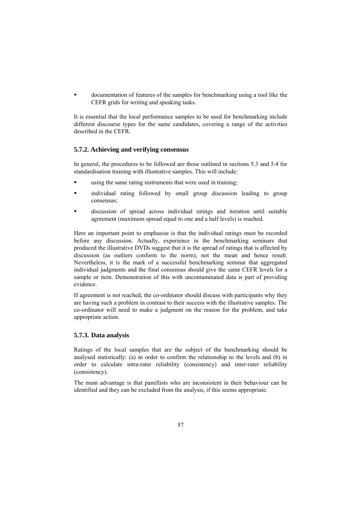documentation of features of the samples for benchmarking using a tool like the CEFR grids for writing and speaking tasks.

It is essential that the local performance samples to be used for benchmarking include different discourse types for the same candidates, covering a range of the activities described in the CEFR.

## **5.7.2. Achieving and verifying consensus**

In general, the procedures to be followed are those outlined in sections 5.3 and 5.4 for standardisation training with illustrative samples. This will include:

- using the same rating instruments that were used in training;
- $\blacksquare$  individual rating followed by small group discussion leading to group consensus;
- discussion of spread across individual ratings and iteration until suitable agreement (maximum spread equal to one and a half levels) is reached.

Here an important point to emphasise is that the individual ratings must be recorded before any discussion. Actually, experience in the benchmarking seminars that produced the illustrative DVDs suggest that it is the spread of ratings that is affected by discussion (as outliers conform to the norm), not the mean and hence result. Nevertheless, it is the mark of a successful benchmarking seminar that aggregated individual judgments and the final consensus should give the same CEFR levels for a sample or item. Demonstration of this with uncontaminated data is part of providing evidence.

If agreement is not reached, the co-ordinator should discuss with participants why they are having such a problem in contrast to their success with the illustrative samples. The co-ordinator will need to make a judgment on the reason for the problem, and take appropriate action.

## **5.7.3. Data analysis**

Ratings of the local samples that are the subject of the benchmarking should be analysed statistically: (a) in order to confirm the relationship to the levels and (b) in order to calculate intra-rater reliability (consistency) and inter-rater reliability (consistency).

The main advantage is that panellists who are inconsistent in their behaviour can be identified and they can be excluded from the analysis, if this seems appropriate.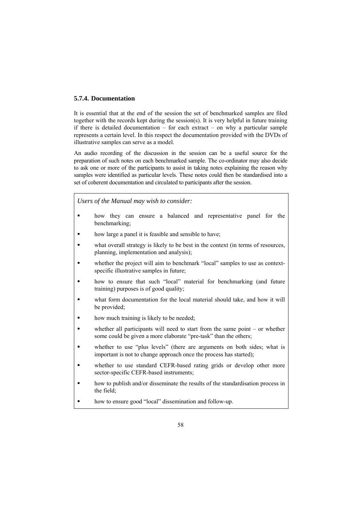#### **5.7.4. Documentation**

It is essential that at the end of the session the set of benchmarked samples are filed together with the records kept during the session(s). It is very helpful in future training if there is detailed documentation – for each extract – on why a particular sample represents a certain level. In this respect the documentation provided with the DVDs of illustrative samples can serve as a model.

An audio recording of the discussion in the session can be a useful source for the preparation of such notes on each benchmarked sample. The co-ordinator may also decide to ask one or more of the participants to assist in taking notes explaining the reason why samples were identified as particular levels. These notes could then be standardised into a set of coherent documentation and circulated to participants after the session.

*Users of the Manual may wish to consider:* 

- how they can ensure a balanced and representative panel for the benchmarking;
- **how large a panel it is feasible and sensible to have;**
- what overall strategy is likely to be best in the context (in terms of resources, planning, implementation and analysis);
- whether the project will aim to benchmark "local" samples to use as contextspecific illustrative samples in future;
- how to ensure that such "local" material for benchmarking (and future training) purposes is of good quality;
- what form documentation for the local material should take, and how it will be provided;
- how much training is likely to be needed;
- whether all participants will need to start from the same point or whether some could be given a more elaborate "pre-task" than the others;
- whether to use "plus levels" (there are arguments on both sides; what is important is not to change approach once the process has started);
- whether to use standard CEFR-based rating grids or develop other more sector-specific CEFR-based instruments;
- how to publish and/or disseminate the results of the standardisation process in the field;
- how to ensure good "local" dissemination and follow-up.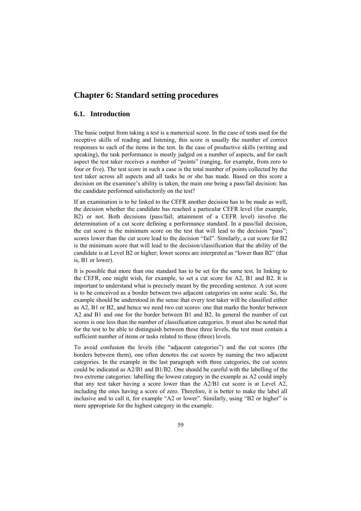# **Chapter 6: Standard setting procedures**

## **6.1. Introduction**

The basic output from taking a test is a numerical score. In the case of tests used for the receptive skills of reading and listening, this score is usually the number of correct responses to each of the items in the test. In the case of productive skills (writing and speaking), the task performance is mostly judged on a number of aspects, and for each aspect the test taker receives a number of "points" (ranging, for example, from zero to four or five). The test score in such a case is the total number of points collected by the test taker across all aspects and all tasks he or she has made. Based on this score a decision on the examinee's ability is taken, the main one being a pass/fail decision: has the candidate performed satisfactorily on the test?

If an examination is to be linked to the CEFR another decision has to be made as well, the decision whether the candidate has reached a particular CEFR level (for example, B2) or not. Both decisions (pass/fail; attainment of a CEFR level) involve the determination of a cut score defining a performance standard. In a pass/fail decision, the cut score is the minimum score on the test that will lead to the decision "pass"; scores lower than the cut score lead to the decision "fail". Similarly, a cut score for B2 is the minimum score that will lead to the decision/classification that the ability of the candidate is at Level B2 or higher; lower scores are interpreted as "lower than B2" (that is, B1 or lower).

It is possible that more than one standard has to be set for the same test. In linking to the CEFR, one might wish, for example, to set a cut score for A2, B1 and B2. It is important to understand what is precisely meant by the preceding sentence. A cut score is to be conceived as a border between two adjacent categories on some scale. So, the example should be understood in the sense that every test taker will be classified either as A2, B1 or B2, and hence we need two cut scores: one that marks the border between A2 and B1 and one for the border between B1 and B2. In general the number of cut scores is one less than the number of classification categories. It must also be noted that for the test to be able to distinguish between these three levels, the test must contain a sufficient number of items or tasks related to these (three) levels.

To avoid confusion the levels (the "adjacent categories") and the cut scores (the borders between them), one often denotes the cut scores by naming the two adjacent categories. In the example in the last paragraph with three categories, the cut scores could be indicated as A2/B1 and B1/B2. One should be careful with the labelling of the two extreme categories: labelling the lowest category in the example as A2 could imply that any test taker having a score lower than the A2/B1 cut score is at Level A2, including the ones having a score of zero. Therefore, it is better to make the label all inclusive and to call it, for example "A2 or lower". Similarly, using "B2 or higher" is more appropriate for the highest category in the example.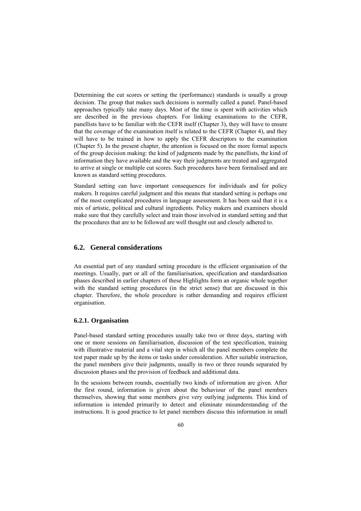Determining the cut scores or setting the (performance) standards is usually a group decision. The group that makes such decisions is normally called a panel. Panel-based approaches typically take many days. Most of the time is spent with activities which are described in the previous chapters. For linking examinations to the CEFR, panellists have to be familiar with the CEFR itself (Chapter 3), they will have to ensure that the coverage of the examination itself is related to the CEFR (Chapter 4), and they will have to be trained in how to apply the CEFR descriptors to the examination (Chapter 5). In the present chapter, the attention is focused on the more formal aspects of the group decision making: the kind of judgments made by the panellists, the kind of information they have available and the way their judgments are treated and aggregated to arrive at single or multiple cut scores. Such procedures have been formalised and are known as standard setting procedures.

Standard setting can have important consequences for individuals and for policy makers. It requires careful judgment and this means that standard setting is perhaps one of the most complicated procedures in language assessment. It has been said that it is a mix of artistic, political and cultural ingredients. Policy makers and examiners should make sure that they carefully select and train those involved in standard setting and that the procedures that are to be followed are well thought out and closely adhered to.

## **6.2. General considerations**

An essential part of any standard setting procedure is the efficient organisation of the meetings. Usually, part or all of the familiarisation, specification and standardisation phases described in earlier chapters of these Highlights form an organic whole together with the standard setting procedures (in the strict sense) that are discussed in this chapter. Therefore, the whole procedure is rather demanding and requires efficient organisation.

#### **6.2.1. Organisation**

Panel-based standard setting procedures usually take two or three days, starting with one or more sessions on familiarisation, discussion of the test specification, training with illustrative material and a vital step in which all the panel members complete the test paper made up by the items or tasks under consideration. After suitable instruction, the panel members give their judgments, usually in two or three rounds separated by discussion phases and the provision of feedback and additional data.

In the sessions between rounds, essentially two kinds of information are given. After the first round, information is given about the behaviour of the panel members themselves, showing that some members give very outlying judgments. This kind of information is intended primarily to detect and eliminate misunderstanding of the instructions. It is good practice to let panel members discuss this information in small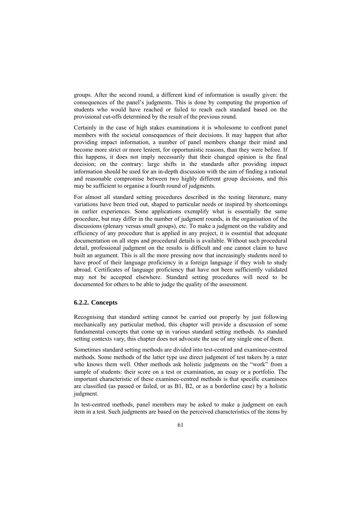groups. After the second round, a different kind of information is usually given: the consequences of the panel's judgments. This is done by computing the proportion of students who would have reached or failed to reach each standard based on the provisional cut-offs determined by the result of the previous round.

Certainly in the case of high stakes examinations it is wholesome to confront panel members with the societal consequences of their decisions. It may happen that after providing impact information, a number of panel members change their mind and become more strict or more lenient, for opportunistic reasons, than they were before. If this happens, it does not imply necessarily that their changed opinion is the final decision; on the contrary: large shifts in the standards after providing impact information should be used for an in-depth discussion with the aim of finding a rational and reasonable compromise between two highly different group decisions, and this may be sufficient to organise a fourth round of judgments.

For almost all standard setting procedures described in the testing literature, many variations have been tried out, shaped to particular needs or inspired by shortcomings in earlier experiences. Some applications exemplify what is essentially the same procedure, but may differ in the number of judgment rounds, in the organisation of the discussions (plenary versus small groups), etc. To make a judgment on the validity and efficiency of any procedure that is applied in any project, it is essential that adequate documentation on all steps and procedural details is available. Without such procedural detail, professional judgment on the results is difficult and one cannot claim to have built an argument. This is all the more pressing now that increasingly students need to have proof of their language proficiency in a foreign language if they wish to study abroad. Certificates of language proficiency that have not been sufficiently validated may not be accepted elsewhere. Standard setting procedures will need to be documented for others to be able to judge the quality of the assessment.

#### **6.2.2. Concepts**

Recognising that standard setting cannot be carried out properly by just following mechanically any particular method, this chapter will provide a discussion of some fundamental concepts that come up in various standard setting methods. As standard setting contexts vary, this chapter does not advocate the use of any single one of them.

Sometimes standard setting methods are divided into test-centred and examinee-centred methods. Some methods of the latter type use direct judgment of test takers by a rater who knows them well. Other methods ask holistic judgments on the "work" from a sample of students: their score on a test or examination, an essay or a portfolio. The important characteristic of these examinee-centred methods is that specific examinees are classified (as passed or failed, or as B1, B2, or as a borderline case) by a holistic judgment.

In test-centred methods, panel members may be asked to make a judgment on each item in a test. Such judgments are based on the perceived characteristics of the items by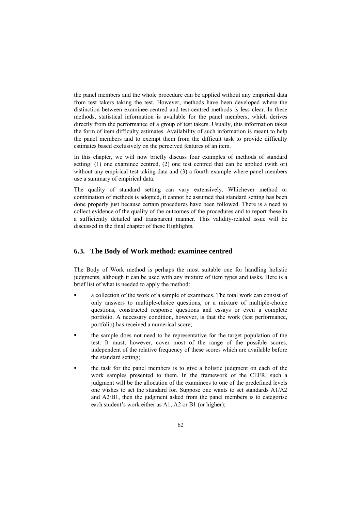the panel members and the whole procedure can be applied without any empirical data from test takers taking the test. However, methods have been developed where the distinction between examinee-centred and test-centred methods is less clear. In these methods, statistical information is available for the panel members, which derives directly from the performance of a group of test takers. Usually, this information takes the form of item difficulty estimates. Availability of such information is meant to help the panel members and to exempt them from the difficult task to provide difficulty estimates based exclusively on the perceived features of an item.

In this chapter, we will now briefly discuss four examples of methods of standard setting: (1) one examinee centred, (2) one test centred that can be applied (with or) without any empirical test taking data and (3) a fourth example where panel members use a summary of empirical data.

The quality of standard setting can vary extensively. Whichever method or combination of methods is adopted, it cannot be assumed that standard setting has been done properly just because certain procedures have been followed. There is a need to collect evidence of the quality of the outcomes of the procedures and to report these in a sufficiently detailed and transparent manner. This validity-related issue will be discussed in the final chapter of these Highlights.

## **6.3. The Body of Work method: examinee centred**

The Body of Work method is perhaps the most suitable one for handling holistic judgments, although it can be used with any mixture of item types and tasks. Here is a brief list of what is needed to apply the method:

- a collection of the work of a sample of examinees. The total work can consist of only answers to multiple-choice questions, or a mixture of multiple-choice questions, constructed response questions and essays or even a complete portfolio. A necessary condition, however, is that the work (test performance, portfolio) has received a numerical score;
- the sample does not need to be representative for the target population of the test. It must, however, cover most of the range of the possible scores, independent of the relative frequency of these scores which are available before the standard setting;
- the task for the panel members is to give a holistic judgment on each of the work samples presented to them. In the framework of the CEFR, such a judgment will be the allocation of the examinees to one of the predefined levels one wishes to set the standard for. Suppose one wants to set standards A1/A2 and A2/B1, then the judgment asked from the panel members is to categorise each student's work either as A1, A2 or B1 (or higher);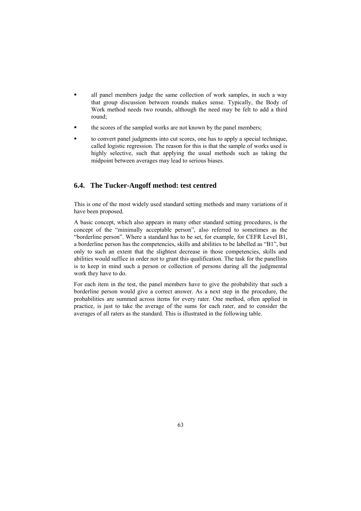- all panel members judge the same collection of work samples, in such a way that group discussion between rounds makes sense. Typically, the Body of Work method needs two rounds, although the need may be felt to add a third round;
- $\blacksquare$  the scores of the sampled works are not known by the panel members;
- to convert panel judgments into cut scores, one has to apply a special technique, called logistic regression. The reason for this is that the sample of works used is highly selective, such that applying the usual methods such as taking the midpoint between averages may lead to serious biases.

# **6.4. The Tucker-Angoff method: test centred**

This is one of the most widely used standard setting methods and many variations of it have been proposed.

A basic concept, which also appears in many other standard setting procedures, is the concept of the "minimally acceptable person", also referred to sometimes as the "borderline person". Where a standard has to be set, for example, for CEFR Level B1, a borderline person has the competencies, skills and abilities to be labelled as "B1", but only to such an extent that the slightest decrease in those competencies, skills and abilities would suffice in order not to grant this qualification. The task for the panellists is to keep in mind such a person or collection of persons during all the judgmental work they have to do.

For each item in the test, the panel members have to give the probability that such a borderline person would give a correct answer. As a next step in the procedure, the probabilities are summed across items for every rater. One method, often applied in practice, is just to take the average of the sums for each rater, and to consider the averages of all raters as the standard. This is illustrated in the following table.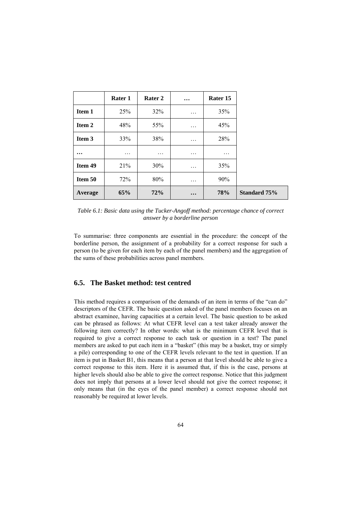|          | Rater 1 | Rater 2 | $\ddotsc$                 | Rater 15 |
|----------|---------|---------|---------------------------|----------|
| Item 1   | 25%     | 32%     | .                         | 35%      |
| Item 2   | 48%     | 55%     | .                         | 45%      |
| Item 3   | 33%     | 38%     | .                         | 28%      |
| $\cdots$ | .       | .       | .                         | .        |
| Item 49  | 21%     | 30%     | .                         | 35%      |
| Item 50  | 72%     | 80%     | .                         | 90%      |
| Average  | 65%     | 72%     | $\bullet \bullet \bullet$ | 78%      |

*Table 6.1: Basic data using the Tucker-Angoff method: percentage chance of correct answer by a borderline person* 

To summarise: three components are essential in the procedure: the concept of the borderline person, the assignment of a probability for a correct response for such a person (to be given for each item by each of the panel members) and the aggregation of the sums of these probabilities across panel members.

# **6.5. The Basket method: test centred**

This method requires a comparison of the demands of an item in terms of the "can do" descriptors of the CEFR. The basic question asked of the panel members focuses on an abstract examinee, having capacities at a certain level. The basic question to be asked can be phrased as follows: At what CEFR level can a test taker already answer the following item correctly? In other words: what is the minimum CEFR level that is required to give a correct response to each task or question in a test? The panel members are asked to put each item in a "basket" (this may be a basket, tray or simply a pile) corresponding to one of the CEFR levels relevant to the test in question. If an item is put in Basket B1, this means that a person at that level should be able to give a correct response to this item. Here it is assumed that, if this is the case, persons at higher levels should also be able to give the correct response. Notice that this judgment does not imply that persons at a lower level should not give the correct response; it only means that (in the eyes of the panel member) a correct response should not reasonably be required at lower levels.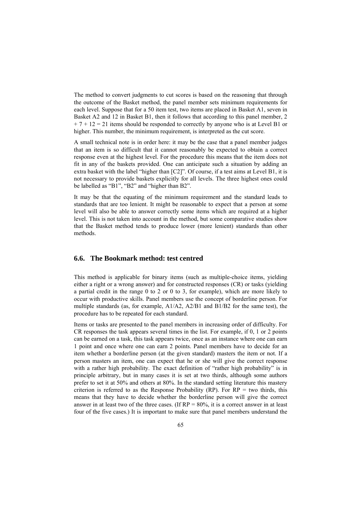The method to convert judgments to cut scores is based on the reasoning that through the outcome of the Basket method, the panel member sets minimum requirements for each level. Suppose that for a 50 item test, two items are placed in Basket A1, seven in Basket A2 and 12 in Basket B1, then it follows that according to this panel member, 2  $+ 7 + 12 = 21$  items should be responded to correctly by anyone who is at Level B1 or higher. This number, the minimum requirement, is interpreted as the cut score.

A small technical note is in order here: it may be the case that a panel member judges that an item is so difficult that it cannot reasonably be expected to obtain a correct response even at the highest level. For the procedure this means that the item does not fit in any of the baskets provided. One can anticipate such a situation by adding an extra basket with the label "higher than [C2]". Of course, if a test aims at Level B1, it is not necessary to provide baskets explicitly for all levels. The three highest ones could be labelled as "B1", "B2" and "higher than B2".

It may be that the equating of the minimum requirement and the standard leads to standards that are too lenient. It might be reasonable to expect that a person at some level will also be able to answer correctly some items which are required at a higher level. This is not taken into account in the method, but some comparative studies show that the Basket method tends to produce lower (more lenient) standards than other methods.

#### **6.6. The Bookmark method: test centred**

This method is applicable for binary items (such as multiple-choice items, yielding either a right or a wrong answer) and for constructed responses (CR) or tasks (yielding a partial credit in the range 0 to 2 or 0 to 3, for example), which are more likely to occur with productive skills. Panel members use the concept of borderline person. For multiple standards (as, for example, A1/A2, A2/B1 and B1/B2 for the same test), the procedure has to be repeated for each standard.

Items or tasks are presented to the panel members in increasing order of difficulty. For CR responses the task appears several times in the list. For example, if 0, 1 or 2 points can be earned on a task, this task appears twice, once as an instance where one can earn 1 point and once where one can earn 2 points. Panel members have to decide for an item whether a borderline person (at the given standard) masters the item or not. If a person masters an item, one can expect that he or she will give the correct response with a rather high probability. The exact definition of "rather high probability" is in principle arbitrary, but in many cases it is set at two thirds, although some authors prefer to set it at 50% and others at 80%. In the standard setting literature this mastery criterion is referred to as the Response Probability (RP). For  $RP =$  two thirds, this means that they have to decide whether the borderline person will give the correct answer in at least two of the three cases. (If  $RP = 80\%$ , it is a correct answer in at least four of the five cases.) It is important to make sure that panel members understand the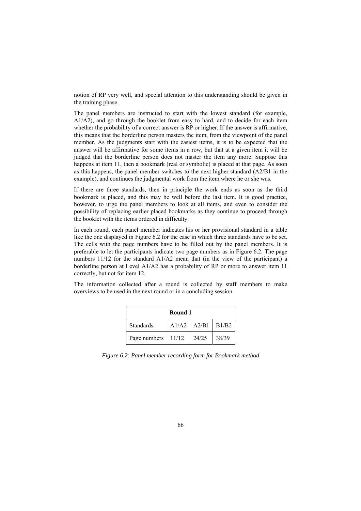notion of RP very well, and special attention to this understanding should be given in the training phase.

The panel members are instructed to start with the lowest standard (for example, A1/A2), and go through the booklet from easy to hard, and to decide for each item whether the probability of a correct answer is RP or higher. If the answer is affirmative, this means that the borderline person masters the item, from the viewpoint of the panel member. As the judgments start with the easiest items, it is to be expected that the answer will be affirmative for some items in a row, but that at a given item it will be judged that the borderline person does not master the item any more. Suppose this happens at item 11, then a bookmark (real or symbolic) is placed at that page. As soon as this happens, the panel member switches to the next higher standard (A2/B1 in the example), and continues the judgmental work from the item where he or she was.

If there are three standards, then in principle the work ends as soon as the third bookmark is placed, and this may be well before the last item. It is good practice, however, to urge the panel members to look at all items, and even to consider the possibility of replacing earlier placed bookmarks as they continue to proceed through the booklet with the items ordered in difficulty.

In each round, each panel member indicates his or her provisional standard in a table like the one displayed in Figure 6.2 for the case in which three standards have to be set. The cells with the page numbers have to be filled out by the panel members. It is preferable to let the participants indicate two page numbers as in Figure 6.2. The page numbers 11/12 for the standard A1/A2 mean that (in the view of the participant) a borderline person at Level A1/A2 has a probability of RP or more to answer item 11 correctly, but not for item 12.

The information collected after a round is collected by staff members to make overviews to be used in the next round or in a concluding session.

|                      | Round 1 |               |       |
|----------------------|---------|---------------|-------|
| <b>Standards</b>     | A1/A2   | $A2/B1$ B1/B2 |       |
| Page numbers   11/12 |         | 24/25         | 38/39 |

*Figure 6.2: Panel member recording form for Bookmark method*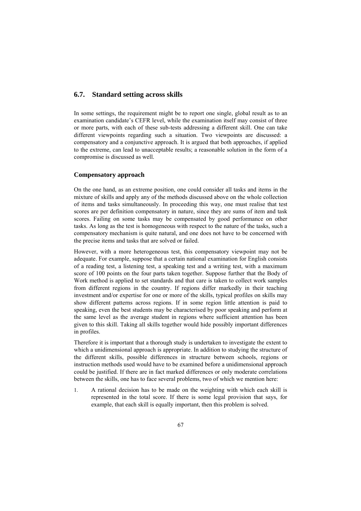## **6.7. Standard setting across skills**

In some settings, the requirement might be to report one single, global result as to an examination candidate's CEFR level, while the examination itself may consist of three or more parts, with each of these sub-tests addressing a different skill. One can take different viewpoints regarding such a situation. Two viewpoints are discussed: a compensatory and a conjunctive approach. It is argued that both approaches, if applied to the extreme, can lead to unacceptable results; a reasonable solution in the form of a compromise is discussed as well.

#### **Compensatory approach**

On the one hand, as an extreme position, one could consider all tasks and items in the mixture of skills and apply any of the methods discussed above on the whole collection of items and tasks simultaneously. In proceeding this way, one must realise that test scores are per definition compensatory in nature, since they are sums of item and task scores. Failing on some tasks may be compensated by good performance on other tasks. As long as the test is homogeneous with respect to the nature of the tasks, such a compensatory mechanism is quite natural, and one does not have to be concerned with the precise items and tasks that are solved or failed.

However, with a more heterogeneous test, this compensatory viewpoint may not be adequate. For example, suppose that a certain national examination for English consists of a reading test, a listening test, a speaking test and a writing test, with a maximum score of 100 points on the four parts taken together. Suppose further that the Body of Work method is applied to set standards and that care is taken to collect work samples from different regions in the country. If regions differ markedly in their teaching investment and/or expertise for one or more of the skills, typical profiles on skills may show different patterns across regions. If in some region little attention is paid to speaking, even the best students may be characterised by poor speaking and perform at the same level as the average student in regions where sufficient attention has been given to this skill. Taking all skills together would hide possibly important differences in profiles.

Therefore it is important that a thorough study is undertaken to investigate the extent to which a unidimensional approach is appropriate. In addition to studying the structure of the different skills, possible differences in structure between schools, regions or instruction methods used would have to be examined before a unidimensional approach could be justified. If there are in fact marked differences or only moderate correlations between the skills, one has to face several problems, two of which we mention here:

1. A rational decision has to be made on the weighting with which each skill is represented in the total score. If there is some legal provision that says, for example, that each skill is equally important, then this problem is solved.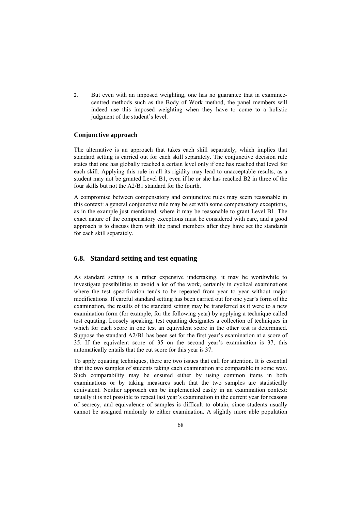2. But even with an imposed weighting, one has no guarantee that in examineecentred methods such as the Body of Work method, the panel members will indeed use this imposed weighting when they have to come to a holistic judgment of the student's level.

## **Conjunctive approach**

The alternative is an approach that takes each skill separately, which implies that standard setting is carried out for each skill separately. The conjunctive decision rule states that one has globally reached a certain level only if one has reached that level for each skill. Applying this rule in all its rigidity may lead to unacceptable results, as a student may not be granted Level B1, even if he or she has reached B2 in three of the four skills but not the A2/B1 standard for the fourth.

A compromise between compensatory and conjunctive rules may seem reasonable in this context: a general conjunctive rule may be set with some compensatory exceptions, as in the example just mentioned, where it may be reasonable to grant Level B1. The exact nature of the compensatory exceptions must be considered with care, and a good approach is to discuss them with the panel members after they have set the standards for each skill separately.

## **6.8. Standard setting and test equating**

As standard setting is a rather expensive undertaking, it may be worthwhile to investigate possibilities to avoid a lot of the work, certainly in cyclical examinations where the test specification tends to be repeated from year to year without major modifications. If careful standard setting has been carried out for one year's form of the examination, the results of the standard setting may be transferred as it were to a new examination form (for example, for the following year) by applying a technique called test equating. Loosely speaking, test equating designates a collection of techniques in which for each score in one test an equivalent score in the other test is determined. Suppose the standard A2/B1 has been set for the first year's examination at a score of 35. If the equivalent score of 35 on the second year's examination is 37, this automatically entails that the cut score for this year is 37.

To apply equating techniques, there are two issues that call for attention. It is essential that the two samples of students taking each examination are comparable in some way. Such comparability may be ensured either by using common items in both examinations or by taking measures such that the two samples are statistically equivalent. Neither approach can be implemented easily in an examination context: usually it is not possible to repeat last year's examination in the current year for reasons of secrecy, and equivalence of samples is difficult to obtain, since students usually cannot be assigned randomly to either examination. A slightly more able population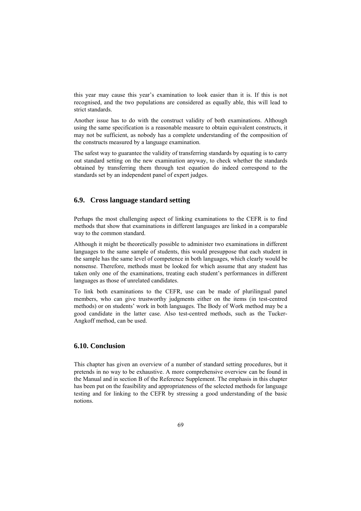this year may cause this year's examination to look easier than it is. If this is not recognised, and the two populations are considered as equally able, this will lead to strict standards.

Another issue has to do with the construct validity of both examinations. Although using the same specification is a reasonable measure to obtain equivalent constructs, it may not be sufficient, as nobody has a complete understanding of the composition of the constructs measured by a language examination.

The safest way to guarantee the validity of transferring standards by equating is to carry out standard setting on the new examination anyway, to check whether the standards obtained by transferring them through test equation do indeed correspond to the standards set by an independent panel of expert judges.

## **6.9. Cross language standard setting**

Perhaps the most challenging aspect of linking examinations to the CEFR is to find methods that show that examinations in different languages are linked in a comparable way to the common standard.

Although it might be theoretically possible to administer two examinations in different languages to the same sample of students, this would presuppose that each student in the sample has the same level of competence in both languages, which clearly would be nonsense. Therefore, methods must be looked for which assume that any student has taken only one of the examinations, treating each student's performances in different languages as those of unrelated candidates.

To link both examinations to the CEFR, use can be made of plurilingual panel members, who can give trustworthy judgments either on the items (in test-centred methods) or on students' work in both languages. The Body of Work method may be a good candidate in the latter case. Also test-centred methods, such as the Tucker-Angkoff method, can be used.

## **6.10. Conclusion**

This chapter has given an overview of a number of standard setting procedures, but it pretends in no way to be exhaustive. A more comprehensive overview can be found in the Manual and in section B of the Reference Supplement. The emphasis in this chapter has been put on the feasibility and appropriateness of the selected methods for language testing and for linking to the CEFR by stressing a good understanding of the basic notions.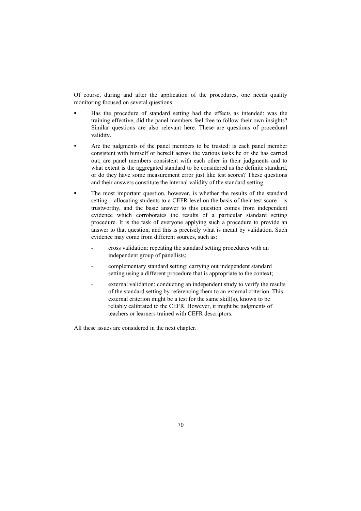Of course, during and after the application of the procedures, one needs quality monitoring focused on several questions:

- Has the procedure of standard setting had the effects as intended: was the training effective, did the panel members feel free to follow their own insights? Similar questions are also relevant here. These are questions of procedural validity.
- Are the judgments of the panel members to be trusted: is each panel member consistent with himself or herself across the various tasks he or she has carried out; are panel members consistent with each other in their judgments and to what extent is the aggregated standard to be considered as the definite standard, or do they have some measurement error just like test scores? These questions and their answers constitute the internal validity of the standard setting.
- The most important question, however, is whether the results of the standard setting – allocating students to a CEFR level on the basis of their test score – is trustworthy, and the basic answer to this question comes from independent evidence which corroborates the results of a particular standard setting procedure. It is the task of everyone applying such a procedure to provide an answer to that question, and this is precisely what is meant by validation. Such evidence may come from different sources, such as:
	- cross validation: repeating the standard setting procedures with an independent group of panellists;
	- complementary standard setting: carrying out independent standard setting using a different procedure that is appropriate to the context;
	- external validation: conducting an independent study to verify the results of the standard setting by referencing them to an external criterion. This external criterion might be a test for the same skill(s), known to be reliably calibrated to the CEFR. However, it might be judgments of teachers or learners trained with CEFR descriptors.

All these issues are considered in the next chapter.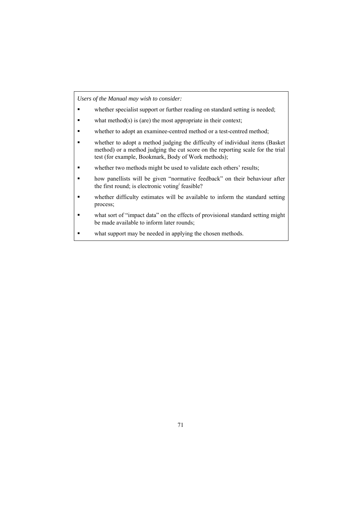*Users of the Manual may wish to consider:* 

- whether specialist support or further reading on standard setting is needed;
- what method(s) is (are) the most appropriate in their context;
- whether to adopt an examinee-centred method or a test-centred method;
- whether to adopt a method judging the difficulty of individual items (Basket method) or a method judging the cut score on the reporting scale for the trial test (for example, Bookmark, Body of Work methods);
- whether two methods might be used to validate each others' results;
- **how panellists will be given "normative feedback" on their behaviour after** the first round; is electronic voting*<sup>i</sup>* feasible?
- whether difficulty estimates will be available to inform the standard setting process;
- what sort of "impact data" on the effects of provisional standard setting might be made available to inform later rounds;
- what support may be needed in applying the chosen methods.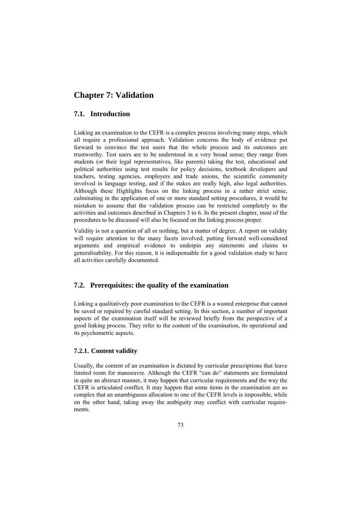# **Chapter 7: Validation**

## **7.1. Introduction**

Linking an examination to the CEFR is a complex process involving many steps, which all require a professional approach. Validation concerns the body of evidence put forward to convince the test users that the whole process and its outcomes are trustworthy. Test users are to be understood in a very broad sense; they range from students (or their legal representatives, like parents) taking the test, educational and political authorities using test results for policy decisions, textbook developers and teachers, testing agencies, employers and trade unions, the scientific community involved in language testing, and if the stakes are really high, also legal authorities. Although these Highlights focus on the linking process in a rather strict sense, culminating in the application of one or more standard setting procedures, it would be mistaken to assume that the validation process can be restricted completely to the activities and outcomes described in Chapters 3 to 6. In the present chapter, most of the procedures to be discussed will also be focused on the linking process proper.

Validity is not a question of all or nothing, but a matter of degree. A report on validity will require attention to the many facets involved, putting forward well-considered arguments and empirical evidence to underpin any statements and claims to generalisability. For this reason, it is indispensable for a good validation study to have all activities carefully documented.

## **7.2. Prerequisites: the quality of the examination**

Linking a qualitatively poor examination to the CEFR is a wasted enterprise that cannot be saved or repaired by careful standard setting. In this section, a number of important aspects of the examination itself will be reviewed briefly from the perspective of a good linking process. They refer to the content of the examination, its operational and its psychometric aspects.

## **7.2.1. Content validity**

Usually, the content of an examination is dictated by curricular prescriptions that leave limited room for manoeuvre. Although the CEFR "can do" statements are formulated in quite an abstract manner, it may happen that curricular requirements and the way the CEFR is articulated conflict. It may happen that some items in the examination are so complex that an unambiguous allocation to one of the CEFR levels is impossible, while on the other hand, taking away the ambiguity may conflict with curricular requirements.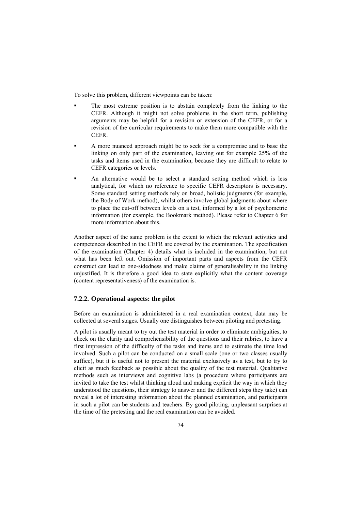To solve this problem, different viewpoints can be taken:

- The most extreme position is to abstain completely from the linking to the CEFR. Although it might not solve problems in the short term, publishing arguments may be helpful for a revision or extension of the CEFR, or for a revision of the curricular requirements to make them more compatible with the CEFR.
- A more nuanced approach might be to seek for a compromise and to base the linking on only part of the examination, leaving out for example 25% of the tasks and items used in the examination, because they are difficult to relate to CEFR categories or levels.
- An alternative would be to select a standard setting method which is less analytical, for which no reference to specific CEFR descriptors is necessary. Some standard setting methods rely on broad, holistic judgments (for example, the Body of Work method), whilst others involve global judgments about where to place the cut-off between levels on a test, informed by a lot of psychometric information (for example, the Bookmark method). Please refer to Chapter 6 for more information about this.

Another aspect of the same problem is the extent to which the relevant activities and competences described in the CEFR are covered by the examination. The specification of the examination (Chapter 4) details what is included in the examination, but not what has been left out. Omission of important parts and aspects from the CEFR construct can lead to one-sidedness and make claims of generalisability in the linking unjustified. It is therefore a good idea to state explicitly what the content coverage (content representativeness) of the examination is.

## **7.2.2. Operational aspects: the pilot**

Before an examination is administered in a real examination context, data may be collected at several stages. Usually one distinguishes between piloting and pretesting.

A pilot is usually meant to try out the test material in order to eliminate ambiguities, to check on the clarity and comprehensibility of the questions and their rubrics, to have a first impression of the difficulty of the tasks and items and to estimate the time load involved. Such a pilot can be conducted on a small scale (one or two classes usually suffice), but it is useful not to present the material exclusively as a test, but to try to elicit as much feedback as possible about the quality of the test material. Qualitative methods such as interviews and cognitive labs (a procedure where participants are invited to take the test whilst thinking aloud and making explicit the way in which they understood the questions, their strategy to answer and the different steps they take) can reveal a lot of interesting information about the planned examination, and participants in such a pilot can be students and teachers. By good piloting, unpleasant surprises at the time of the pretesting and the real examination can be avoided.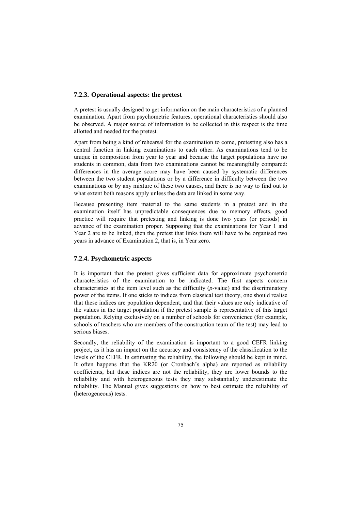## **7.2.3. Operational aspects: the pretest**

A pretest is usually designed to get information on the main characteristics of a planned examination. Apart from psychometric features, operational characteristics should also be observed. A major source of information to be collected in this respect is the time allotted and needed for the pretest.

Apart from being a kind of rehearsal for the examination to come, pretesting also has a central function in linking examinations to each other. As examinations tend to be unique in composition from year to year and because the target populations have no students in common, data from two examinations cannot be meaningfully compared: differences in the average score may have been caused by systematic differences between the two student populations or by a difference in difficulty between the two examinations or by any mixture of these two causes, and there is no way to find out to what extent both reasons apply unless the data are linked in some way.

Because presenting item material to the same students in a pretest and in the examination itself has unpredictable consequences due to memory effects, good practice will require that pretesting and linking is done two years (or periods) in advance of the examination proper. Supposing that the examinations for Year 1 and Year 2 are to be linked, then the pretest that links them will have to be organised two years in advance of Examination 2, that is, in Year zero.

## **7.2.4. Psychometric aspects**

It is important that the pretest gives sufficient data for approximate psychometric characteristics of the examination to be indicated. The first aspects concern characteristics at the item level such as the difficulty (*p*-value) and the discriminatory power of the items. If one sticks to indices from classical test theory, one should realise that these indices are population dependent, and that their values are only indicative of the values in the target population if the pretest sample is representative of this target population. Relying exclusively on a number of schools for convenience (for example, schools of teachers who are members of the construction team of the test) may lead to serious biases.

Secondly, the reliability of the examination is important to a good CEFR linking project, as it has an impact on the accuracy and consistency of the classification to the levels of the CEFR. In estimating the reliability, the following should be kept in mind. It often happens that the KR20 (or Cronbach's alpha) are reported as reliability coefficients, but these indices are not the reliability, they are lower bounds to the reliability and with heterogeneous tests they may substantially underestimate the reliability. The Manual gives suggestions on how to best estimate the reliability of (heterogeneous) tests.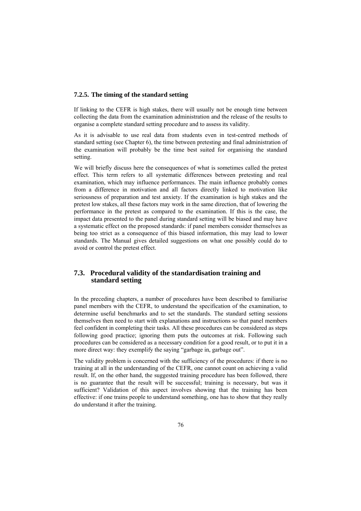### **7.2.5. The timing of the standard setting**

If linking to the CEFR is high stakes, there will usually not be enough time between collecting the data from the examination administration and the release of the results to organise a complete standard setting procedure and to assess its validity.

As it is advisable to use real data from students even in test-centred methods of standard setting (see Chapter 6), the time between pretesting and final administration of the examination will probably be the time best suited for organising the standard setting.

We will briefly discuss here the consequences of what is sometimes called the pretest effect. This term refers to all systematic differences between pretesting and real examination, which may influence performances. The main influence probably comes from a difference in motivation and all factors directly linked to motivation like seriousness of preparation and test anxiety. If the examination is high stakes and the pretest low stakes, all these factors may work in the same direction, that of lowering the performance in the pretest as compared to the examination. If this is the case, the impact data presented to the panel during standard setting will be biased and may have a systematic effect on the proposed standards: if panel members consider themselves as being too strict as a consequence of this biased information, this may lead to lower standards. The Manual gives detailed suggestions on what one possibly could do to avoid or control the pretest effect.

# **7.3. Procedural validity of the standardisation training and standard setting**

In the preceding chapters, a number of procedures have been described to familiarise panel members with the CEFR, to understand the specification of the examination, to determine useful benchmarks and to set the standards. The standard setting sessions themselves then need to start with explanations and instructions so that panel members feel confident in completing their tasks. All these procedures can be considered as steps following good practice; ignoring them puts the outcomes at risk. Following such procedures can be considered as a necessary condition for a good result, or to put it in a more direct way: they exemplify the saying "garbage in, garbage out".

The validity problem is concerned with the sufficiency of the procedures: if there is no training at all in the understanding of the CEFR, one cannot count on achieving a valid result. If, on the other hand, the suggested training procedure has been followed, there is no guarantee that the result will be successful; training is necessary, but was it sufficient? Validation of this aspect involves showing that the training has been effective: if one trains people to understand something, one has to show that they really do understand it after the training.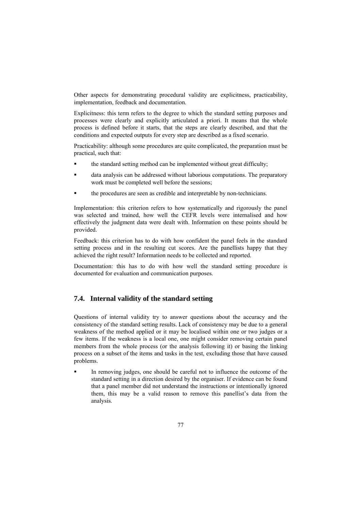Other aspects for demonstrating procedural validity are explicitness, practicability, implementation, feedback and documentation.

Explicitness: this term refers to the degree to which the standard setting purposes and processes were clearly and explicitly articulated a priori. It means that the whole process is defined before it starts, that the steps are clearly described, and that the conditions and expected outputs for every step are described as a fixed scenario.

Practicability: although some procedures are quite complicated, the preparation must be practical, such that:

- the standard setting method can be implemented without great difficulty;
- data analysis can be addressed without laborious computations. The preparatory work must be completed well before the sessions;
- the procedures are seen as credible and interpretable by non-technicians.

Implementation: this criterion refers to how systematically and rigorously the panel was selected and trained, how well the CEFR levels were internalised and how effectively the judgment data were dealt with. Information on these points should be provided.

Feedback: this criterion has to do with how confident the panel feels in the standard setting process and in the resulting cut scores. Are the panellists happy that they achieved the right result? Information needs to be collected and reported.

Documentation: this has to do with how well the standard setting procedure is documented for evaluation and communication purposes.

## **7.4. Internal validity of the standard setting**

Questions of internal validity try to answer questions about the accuracy and the consistency of the standard setting results. Lack of consistency may be due to a general weakness of the method applied or it may be localised within one or two judges or a few items. If the weakness is a local one, one might consider removing certain panel members from the whole process (or the analysis following it) or basing the linking process on a subset of the items and tasks in the test, excluding those that have caused problems.

 In removing judges, one should be careful not to influence the outcome of the standard setting in a direction desired by the organiser. If evidence can be found that a panel member did not understand the instructions or intentionally ignored them, this may be a valid reason to remove this panellist's data from the analysis.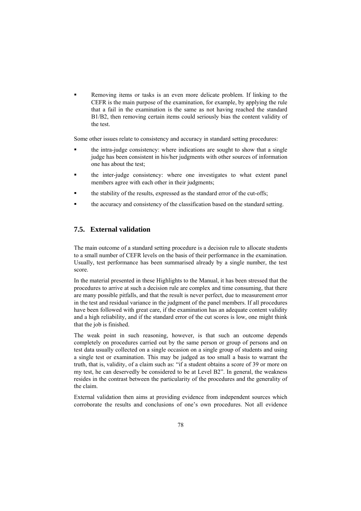Removing items or tasks is an even more delicate problem. If linking to the CEFR is the main purpose of the examination, for example, by applying the rule that a fail in the examination is the same as not having reached the standard B1/B2, then removing certain items could seriously bias the content validity of the test.

Some other issues relate to consistency and accuracy in standard setting procedures:

- the intra-judge consistency: where indications are sought to show that a single judge has been consistent in his/her judgments with other sources of information one has about the test;
- the inter-judge consistency: where one investigates to what extent panel members agree with each other in their judgments;
- the stability of the results, expressed as the standard error of the cut-offs;
- the accuracy and consistency of the classification based on the standard setting.

# **7.5. External validation**

The main outcome of a standard setting procedure is a decision rule to allocate students to a small number of CEFR levels on the basis of their performance in the examination. Usually, test performance has been summarised already by a single number, the test score.

In the material presented in these Highlights to the Manual, it has been stressed that the procedures to arrive at such a decision rule are complex and time consuming, that there are many possible pitfalls, and that the result is never perfect, due to measurement error in the test and residual variance in the judgment of the panel members. If all procedures have been followed with great care, if the examination has an adequate content validity and a high reliability, and if the standard error of the cut scores is low, one might think that the job is finished.

The weak point in such reasoning, however, is that such an outcome depends completely on procedures carried out by the same person or group of persons and on test data usually collected on a single occasion on a single group of students and using a single test or examination. This may be judged as too small a basis to warrant the truth, that is, validity, of a claim such as: "if a student obtains a score of 39 or more on my test, he can deservedly be considered to be at Level B2". In general, the weakness resides in the contrast between the particularity of the procedures and the generality of the claim.

External validation then aims at providing evidence from independent sources which corroborate the results and conclusions of one's own procedures. Not all evidence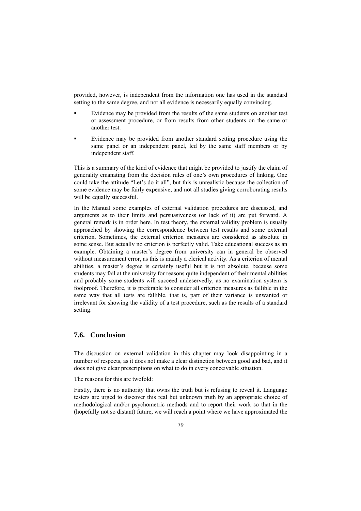provided, however, is independent from the information one has used in the standard setting to the same degree, and not all evidence is necessarily equally convincing.

- Evidence may be provided from the results of the same students on another test or assessment procedure, or from results from other students on the same or another test.
- Evidence may be provided from another standard setting procedure using the same panel or an independent panel, led by the same staff members or by independent staff.

This is a summary of the kind of evidence that might be provided to justify the claim of generality emanating from the decision rules of one's own procedures of linking. One could take the attitude "Let's do it all", but this is unrealistic because the collection of some evidence may be fairly expensive, and not all studies giving corroborating results will be equally successful.

In the Manual some examples of external validation procedures are discussed, and arguments as to their limits and persuasiveness (or lack of it) are put forward. A general remark is in order here. In test theory, the external validity problem is usually approached by showing the correspondence between test results and some external criterion. Sometimes, the external criterion measures are considered as absolute in some sense. But actually no criterion is perfectly valid. Take educational success as an example. Obtaining a master's degree from university can in general be observed without measurement error, as this is mainly a clerical activity. As a criterion of mental abilities, a master's degree is certainly useful but it is not absolute, because some students may fail at the university for reasons quite independent of their mental abilities and probably some students will succeed undeservedly, as no examination system is foolproof. Therefore, it is preferable to consider all criterion measures as fallible in the same way that all tests are fallible, that is, part of their variance is unwanted or irrelevant for showing the validity of a test procedure, such as the results of a standard setting.

# **7.6. Conclusion**

The discussion on external validation in this chapter may look disappointing in a number of respects, as it does not make a clear distinction between good and bad, and it does not give clear prescriptions on what to do in every conceivable situation.

The reasons for this are twofold:

Firstly, there is no authority that owns the truth but is refusing to reveal it. Language testers are urged to discover this real but unknown truth by an appropriate choice of methodological and/or psychometric methods and to report their work so that in the (hopefully not so distant) future, we will reach a point where we have approximated the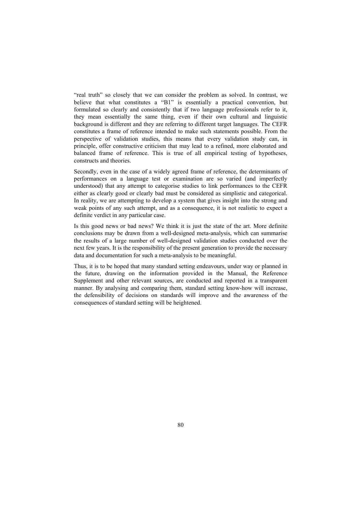"real truth" so closely that we can consider the problem as solved. In contrast, we believe that what constitutes a "B1" is essentially a practical convention, but formulated so clearly and consistently that if two language professionals refer to it, they mean essentially the same thing, even if their own cultural and linguistic background is different and they are referring to different target languages. The CEFR constitutes a frame of reference intended to make such statements possible. From the perspective of validation studies, this means that every validation study can, in principle, offer constructive criticism that may lead to a refined, more elaborated and balanced frame of reference. This is true of all empirical testing of hypotheses, constructs and theories.

Secondly, even in the case of a widely agreed frame of reference, the determinants of performances on a language test or examination are so varied (and imperfectly understood) that any attempt to categorise studies to link performances to the CEFR either as clearly good or clearly bad must be considered as simplistic and categorical. In reality, we are attempting to develop a system that gives insight into the strong and weak points of any such attempt, and as a consequence, it is not realistic to expect a definite verdict in any particular case.

Is this good news or bad news? We think it is just the state of the art. More definite conclusions may be drawn from a well-designed meta-analysis, which can summarise the results of a large number of well-designed validation studies conducted over the next few years. It is the responsibility of the present generation to provide the necessary data and documentation for such a meta-analysis to be meaningful.

Thus, it is to be hoped that many standard setting endeavours, under way or planned in the future, drawing on the information provided in the Manual, the Reference Supplement and other relevant sources, are conducted and reported in a transparent manner. By analysing and comparing them, standard setting know-how will increase, the defensibility of decisions on standards will improve and the awareness of the consequences of standard setting will be heightened.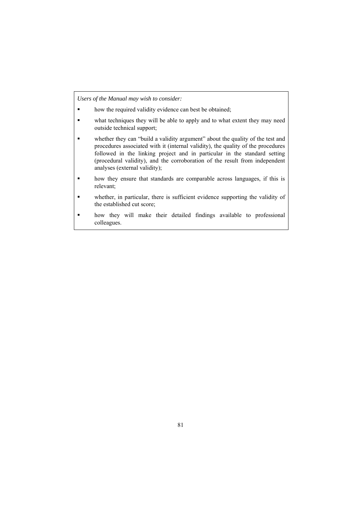*Users of the Manual may wish to consider:* 

- how the required validity evidence can best be obtained;
- what techniques they will be able to apply and to what extent they may need outside technical support;
- whether they can "build a validity argument" about the quality of the test and procedures associated with it (internal validity), the quality of the procedures followed in the linking project and in particular in the standard setting (procedural validity), and the corroboration of the result from independent analyses (external validity);
- how they ensure that standards are comparable across languages, if this is relevant;
- whether, in particular, there is sufficient evidence supporting the validity of the established cut score;
- how they will make their detailed findings available to professional colleagues.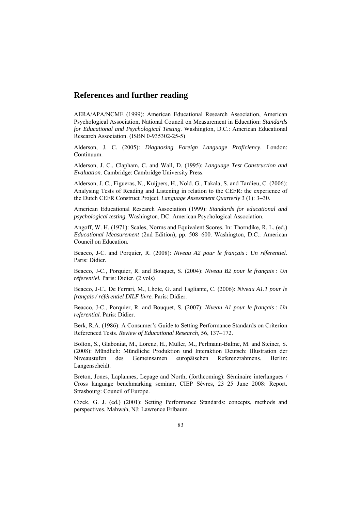# **References and further reading**

AERA/APA/NCME (1999): American Educational Research Association, American Psychological Association, National Council on Measurement in Education: *Standards for Educational and Psychological Testing*. Washington, D.C.: American Educational Research Association. (ISBN 0-935302-25-5)

Alderson, J. C. (2005): *Diagnosing Foreign Language Proficiency*. London: Continuum.

Alderson, J. C., Clapham, C. and Wall, D. (1995): *Language Test Construction and Evaluation*. Cambridge: Cambridge University Press.

Alderson, J. C., Figueras, N., Kuijpers, H., Nold. G., Takala, S. and Tardieu, C. (2006): Analysing Tests of Reading and Listening in relation to the CEFR: the experience of the Dutch CEFR Construct Project. *Language Assessment Quarterly* 3 (1): 3−30.

American Educational Research Association (1999): *Standards for educational and psychological testing*. Washington, DC: American Psychological Association.

Angoff, W. H. (1971): Scales, Norms and Equivalent Scores. In: Thorndike, R. L. (ed.) *Educational Measurement* (2nd Edition), pp. 508−600. Washington, D.C.: American Council on Education.

Beacco, J-C. and Porquier, R. (2008): *Niveau A2 pour le français : Un réferentiel.*  Paris: Didier.

Beacco, J-C., Porquier, R. and Bouquet, S. (2004): *Niveau B2 pour le français : Un réferentiel.* Paris: Didier. (2 vols)

Beacco, J-C., De Ferrari, M., Lhote, G. and Tagliante, C. (2006): *Niveau A1.1 pour le français / référentiel DILF livre.* Paris: Didier.

Beacco, J-C., Porquier, R. and Bouquet, S. (2007): *Niveau A1 pour le français : Un referential.* Paris: Didier.

Berk, R.A. (1986): A Consumer's Guide to Setting Performance Standards on Criterion Referenced Tests. *Review of Educational Research,* 56, 137−172.

Bolton, S., Glaboniat, M., Lorenz, H., Müller, M., Perlmann-Balme, M. and Steiner, S. (2008): Mündlich: Mündliche Produktion und Interaktion Deutsch: Illustration der Niveaustufen des Gemeinsamen europäischen Referenzrahmens. Berlin: Langenscheidt.

Breton, Jones, Laplannes, Lepage and North, (forthcoming): Séminaire interlangues / Cross language benchmarking seminar, CIEP Sèvres, 23−25 June 2008: Report. Strasbourg: Council of Europe.

Cizek, G. J. (ed.) (2001): Setting Performance Standards: concepts, methods and perspectives. Mahwah, NJ: Lawrence Erlbaum.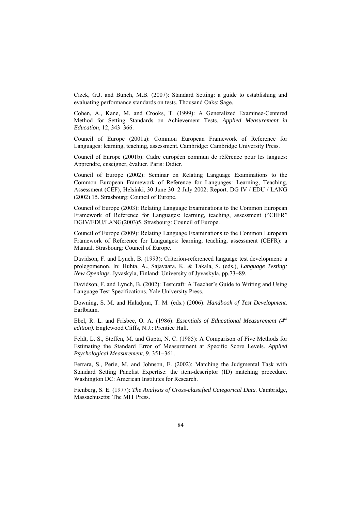Cizek, G.J. and Bunch, M.B. (2007): Standard Setting: a guide to establishing and evaluating performance standards on tests. Thousand Oaks: Sage.

Cohen, A., Kane, M. and Crooks, T. (1999): A Generalized Examinee-Centered Method for Setting Standards on Achievement Tests. *Applied Measurement in Education,* 12, 343–366.

Council of Europe (2001a): Common European Framework of Reference for Languages: learning, teaching, assessment. Cambridge: Cambridge University Press.

Council of Europe (2001b): Cadre européen commun de référence pour les langues: Apprendre, enseigner, évaluer. Paris: Didier.

Council of Europe (2002): Seminar on Relating Language Examinations to the Common European Framework of Reference for Languages: Learning, Teaching, Assessment (CEF), Helsinki, 30 June 30−2 July 2002: Report. DG IV / EDU / LANG (2002) 15. Strasbourg: Council of Europe.

Council of Europe (2003): Relating Language Examinations to the Common European Framework of Reference for Languages: learning, teaching, assessment ("CEFR" DGIV/EDU/LANG(2003)5. Strasbourg: Council of Europe.

Council of Europe (2009): Relating Language Examinations to the Common European Framework of Reference for Languages: learning, teaching, assessment (CEFR): a Manual. Strasbourg: Council of Europe.

Davidson, F. and Lynch, B. (1993): Criterion-referenced language test development: a prolegomenon. In: Huhta, A., Sajavaara, K. & Takala, S. (eds.), *Language Testing: New Openings*. Jyvaskyla, Finland: University of Jyvaskyla, pp.73−89.

Davidson, F. and Lynch, B. (2002): Testcraft: A Teacher's Guide to Writing and Using Language Test Specifications. Yale University Press.

Downing, S. M. and Haladyna, T. M. (eds.) (2006): *Handbook of Test Development.* Earlbaum.

Ebel, R. L. and Frisbee, O. A. (1986): *Essentials of Educational Measurement (4th edition)*. Englewood Cliffs, N.J.: Prentice Hall.

Feldt, L. S., Steffen, M. and Gupta, N. C. (1985): A Comparison of Five Methods for Estimating the Standard Error of Measurement at Specific Score Levels. *Applied Psychological Measurement,* 9, 351−361.

Ferrara, S., Perie, M. and Johnson, E. (2002): Matching the Judgmental Task with Standard Setting Panelist Expertise: the item-descriptor (ID) matching procedure. Washington DC: American Institutes for Research.

Fienberg, S. E. (1977): *The Analysis of Cross-classified Categorical Data.* Cambridge, Massachusetts: The MIT Press.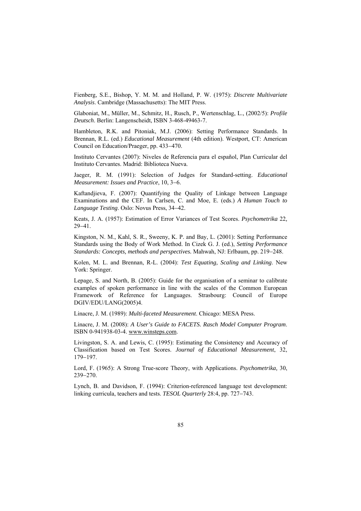Fienberg, S.E., Bishop, Y. M. M. and Holland, P. W. (1975): *Discrete Multivariate Analysis*. Cambridge (Massachusetts): The MIT Press.

Glaboniat, M., Müller, M., Schmitz, H., Rusch, P., Wertenschlag, L., (2002/5): *Profile Deutsch*. Berlin: Langenscheidt, ISBN 3-468-49463-7.

Hambleton, R.K. and Pitoniak, M.J. (2006): Setting Performance Standards. In Brennan, R.L. (ed.) *Educational Measurement* (4th edition). Westport, CT: American Council on Education/Praeger, pp. 433−470.

Instituto Cervantes (2007): Niveles de Referencia para el español, Plan Curricular del Instituto Cervantes. Madrid: Biblioteca Nueva.

Jaeger, R. M. (1991): Selection of Judges for Standard-setting. *Educational Measurement: Issues and Practice*, 10, 3−6.

Kaftandjieva, F. (2007): Quantifying the Quality of Linkage between Language Examinations and the CEF. In Carlsen, C. and Moe, E. (eds.) *A Human Touch to Language Testing*. Oslo: Novus Press, 34−42.

Keats, J. A. (1957): Estimation of Error Variances of Test Scores. *Psychometrika* 22*,*  29−41.

Kingston, N. M., Kahl, S. R., Sweeny, K. P. and Bay, L. (2001): Setting Performance Standards using the Body of Work Method. In Cizek G. J. (ed.), *Setting Performance Standards: Concepts, methods and perspectives.* Mahwah, NJ: Erlbaum, pp. 219−248.

Kolen, M. L. and Brennan, R-L. (2004): *Test Equating, Scaling and Linking*. New York: Springer.

Lepage, S. and North, B. (2005): Guide for the organisation of a seminar to calibrate examples of spoken performance in line with the scales of the Common European Framework of Reference for Languages. Strasbourg: Council of Europe DGIV/EDU/LANG(2005)4.

Linacre, J. M. (1989): *Multi-faceted Measurement*. Chicago: MESA Press.

Linacre, J. M. (2008): *A User's Guide to FACETS. Rasch Model Computer Program*. ISBN 0-941938-03-4. www.winsteps.com.

Livingston, S. A. and Lewis, C. (1995): Estimating the Consistency and Accuracy of Classification based on Test Scores. *Journal of Educational Measurement*, 32, 179−197.

Lord, F. (1965): A Strong True-score Theory, with Applications. *Psychometrika,* 30, 239−270.

Lynch, B. and Davidson, F. (1994): Criterion-referenced language test development: linking curricula, teachers and tests. *TESOL Quarterly* 28:4, pp. 727−743.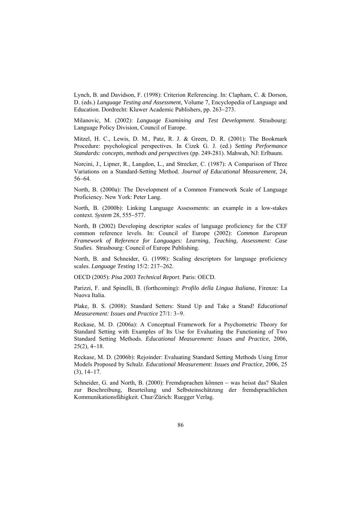Lynch, B. and Davidson, F. (1998): Criterion Referencing. In: Clapham, C. & Dorson, D. (eds.) *Language Testing and Assessment*, Volume 7, Encyclopedia of Language and Education. Dordrecht: Kluwer Academic Publishers, pp. 263−273.

Milanovic, M. (2002): *Language Examining and Test Development*. Strasbourg: Language Policy Division, Council of Europe.

Mitzel, H. C., Lewis, D. M., Patz, R. J. & Green, D. R. (2001): The Bookmark Procedure: psychological perspectives. In Cizek G. J. (ed.) *Setting Performance Standards: concepts, methods and perspectives* (pp. 249-281). Mahwah, NJ: Erlbaum.

Norcini, J., Lipner, R., Langdon, L., and Strecker, C. (1987): A Comparison of Three Variations on a Standard-Setting Method. *Journal of Educational Measurement*, 24, 56−64.

North, B. (2000a): The Development of a Common Framework Scale of Language Proficiency. New York: Peter Lang.

North, B. (2000b): Linking Language Assessments: an example in a low-stakes context. *System* 28, 555−577.

North, B (2002) Developing descriptor scales of language proficiency for the CEF common reference levels. In: Council of Europe (2002): *Common European Framework of Reference for Languages: Learning, Teaching, Assessment: Case Studies.* Strasbourg: Council of Europe Publishing.

North, B. and Schneider, G. (1998): Scaling descriptors for language proficiency scales. *Language Testing* 15/2: 217−262.

OECD (2005): *Pisa 2003 Technical Report*. Paris: OECD.

Parizzi, F. and Spinelli, B. (forthcoming): *Profilo della Lingua Italiana*, Firenze: La Nuova Italia.

Plake, B. S. (2008): Standard Setters: Stand Up and Take a Stand! *Educational Measurement: Issues and Practice* 27/1: 3−9.

Reckase, M. D. (2006a): A Conceptual Framework for a Psychometric Theory for Standard Setting with Examples of Its Use for Evaluating the Functioning of Two Standard Setting Methods. *Educational Measurement: Issues and Practice*, 2006, 25(2), 4−18.

Reckase, M. D. (2006b): Rejoinder: Evaluating Standard Setting Methods Using Error Models Proposed by Schulz. *Educational Measurement: Issues and Practice*, 2006, 25 (3), 14−17.

Schneider, G. and North, B. (2000): Fremdsprachen können − was heisst das? Skalen zur Beschreibung, Beurteilung und Selbsteinschätzung der fremdsprachlichen Kommunikationsfähigkeit. Chur/Zürich: Ruegger Verlag.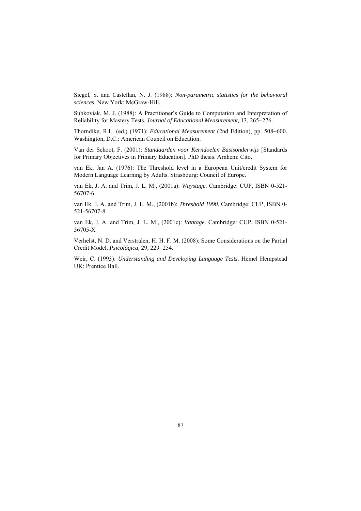Siegel, S. and Castellan, N. J. (1988): *Non-parametric statistics for the behavioral sciences*. New York: McGraw-Hill.

Subkoviak, M. J. (1988): A Practitioner's Guide to Computation and Interpretation of Reliability for Mastery Tests. *Journal of Educational Measurement,* 13, 265−276.

Thorndike, R.L. (ed.) (1971): *Educational Measurement* (2nd Edition), pp. 508−600. Washington, D.C.: American Council on Education.

Van der Schoot, F. (2001): *Standaarden voor Kerndoelen Basisonderwijs* [Standards for Primary Objectives in Primary Education]. PhD thesis. Arnhem: Cito.

van Ek, Jan A. (1976): The Threshold level in a European Unit/credit System for Modern Language Learning by Adults. Strasbourg: Council of Europe.

van Ek, J. A. and Trim, J. L. M., (2001a): *Waystage*. Cambridge: CUP, ISBN 0-521- 56707-6

van Ek, J. A. and Trim, J. L. M., (2001b): *Threshold 1990*. Cambridge: CUP, ISBN 0- 521-56707-8

van Ek, J. A. and Trim, J. L. M., (2001c): *Vantage*. Cambridge: CUP, ISBN 0-521- 56705-X

Verhelst, N. D. and Verstralen, H. H. F. M. (2008): Some Considerations on the Partial Credit Model. *Psicológica,* 29*,* 229−254.

Weir, C. (1993): *Understanding and Developing Language Tests*. Hemel Hempstead UK: Prentice Hall.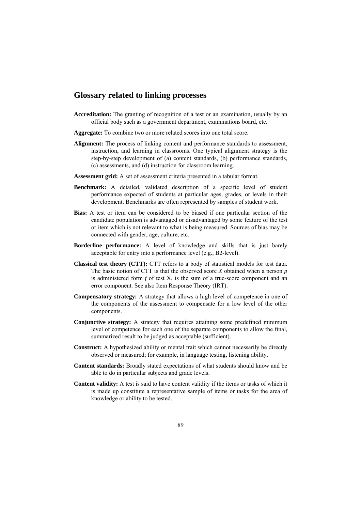# **Glossary related to linking processes**

- **Accreditation:** The granting of recognition of a test or an examination, usually by an official body such as a government department, examinations board, etc.
- **Aggregate:** To combine two or more related scores into one total score.
- **Alignment:** The process of linking content and performance standards to assessment, instruction, and learning in classrooms. One typical alignment strategy is the step-by-step development of (a) content standards, (b) performance standards, (c) assessments, and (d) instruction for classroom learning.
- **Assessment grid:** A set of assessment criteria presented in a tabular format.
- **Benchmark:** A detailed, validated description of a specific level of student performance expected of students at particular ages, grades, or levels in their development. Benchmarks are often represented by samples of student work.
- **Bias:** A test or item can be considered to be biased if one particular section of the candidate population is advantaged or disadvantaged by some feature of the test or item which is not relevant to what is being measured. Sources of bias may be connected with gender, age, culture, etc.
- **Borderline performance:** A level of knowledge and skills that is just barely acceptable for entry into a performance level (e.g., B2-level).
- **Classical test theory (CTT):** CTT refers to a body of statistical models for test data. The basic notion of CTT is that the observed score *X* obtained when a person *p* is administered form *f* of test X, is the sum of a true-score component and an error component. See also Item Response Theory (IRT).
- **Compensatory strategy:** A strategy that allows a high level of competence in one of the components of the assessment to compensate for a low level of the other components.
- **Conjunctive strategy:** A strategy that requires attaining some predefined minimum level of competence for each one of the separate components to allow the final, summarized result to be judged as acceptable (sufficient).
- **Construct:** A hypothesized ability or mental trait which cannot necessarily be directly observed or measured; for example, in language testing, listening ability.
- **Content standards:** Broadly stated expectations of what students should know and be able to do in particular subjects and grade levels.
- **Content validity:** A test is said to have content validity if the items or tasks of which it is made up constitute a representative sample of items or tasks for the area of knowledge or ability to be tested.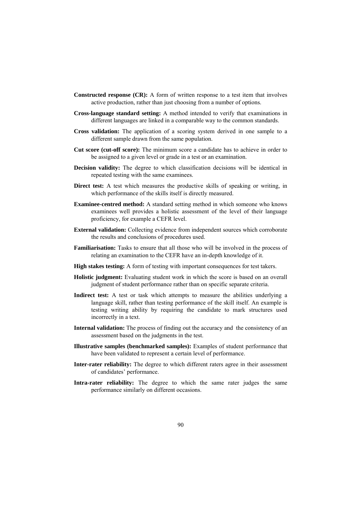- **Constructed response (CR):** A form of written response to a test item that involves active production, rather than just choosing from a number of options.
- **Cross-language standard setting:** A method intended to verify that examinations in different languages are linked in a comparable way to the common standards.
- **Cross validation:** The application of a scoring system derived in one sample to a different sample drawn from the same population.
- **Cut score (cut-off score):** The minimum score a candidate has to achieve in order to be assigned to a given level or grade in a test or an examination.
- **Decision validity:** The degree to which classification decisions will be identical in repeated testing with the same examinees.
- **Direct test:** A test which measures the productive skills of speaking or writing, in which performance of the skills itself is directly measured.
- **Examinee-centred method:** A standard setting method in which someone who knows examinees well provides a holistic assessment of the level of their language proficiency, for example a CEFR level.
- **External validation:** Collecting evidence from independent sources which corroborate the results and conclusions of procedures used.
- **Familiarisation:** Tasks to ensure that all those who will be involved in the process of relating an examination to the CEFR have an in-depth knowledge of it.
- **High stakes testing:** A form of testing with important consequences for test takers.
- **Holistic judgment:** Evaluating student work in which the score is based on an overall judgment of student performance rather than on specific separate criteria.
- Indirect test: A test or task which attempts to measure the abilities underlying a language skill, rather than testing performance of the skill itself. An example is testing writing ability by requiring the candidate to mark structures used incorrectly in a text.
- **Internal validation:** The process of finding out the accuracy and the consistency of an assessment based on the judgments in the test.
- **Illustrative samples (benchmarked samples):** Examples of student performance that have been validated to represent a certain level of performance.
- **Inter-rater reliability:** The degree to which different raters agree in their assessment of candidates' performance.
- **Intra-rater reliability:** The degree to which the same rater judges the same performance similarly on different occasions.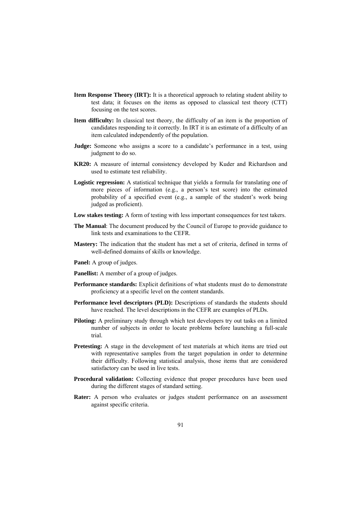- **Item Response Theory (IRT):** It is a theoretical approach to relating student ability to test data; it focuses on the items as opposed to classical test theory (CTT) focusing on the test scores.
- **Item difficulty:** In classical test theory, the difficulty of an item is the proportion of candidates responding to it correctly. In IRT it is an estimate of a difficulty of an item calculated independently of the population.
- **Judge:** Someone who assigns a score to a candidate's performance in a test, using judgment to do so.
- **KR20:** A measure of internal consistency developed by Kuder and Richardson and used to estimate test reliability.
- Logistic regression: A statistical technique that yields a formula for translating one of more pieces of information (e.g., a person's test score) into the estimated probability of a specified event (e.g., a sample of the student's work being judged as proficient).
- Low stakes testing: A form of testing with less important consequences for test takers.
- **The Manual**: The document produced by the Council of Europe to provide guidance to link tests and examinations to the CEFR.
- **Mastery:** The indication that the student has met a set of criteria, defined in terms of well-defined domains of skills or knowledge.
- **Panel:** A group of judges.
- **Panellist:** A member of a group of judges.
- **Performance standards:** Explicit definitions of what students must do to demonstrate proficiency at a specific level on the content standards.
- **Performance level descriptors (PLD):** Descriptions of standards the students should have reached. The level descriptions in the CEFR are examples of PLDs.
- **Piloting:** A preliminary study through which test developers try out tasks on a limited number of subjects in order to locate problems before launching a full-scale trial.
- **Pretesting:** A stage in the development of test materials at which items are tried out with representative samples from the target population in order to determine their difficulty. Following statistical analysis, those items that are considered satisfactory can be used in live tests.
- **Procedural validation:** Collecting evidence that proper procedures have been used during the different stages of standard setting.
- **Rater:** A person who evaluates or judges student performance on an assessment against specific criteria.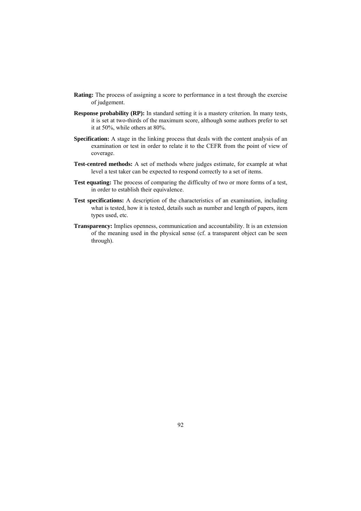- **Rating:** The process of assigning a score to performance in a test through the exercise of judgement.
- **Response probability (RP):** In standard setting it is a mastery criterion. In many tests, it is set at two-thirds of the maximum score, although some authors prefer to set it at 50%, while others at 80%.
- **Specification:** A stage in the linking process that deals with the content analysis of an examination or test in order to relate it to the CEFR from the point of view of coverage.
- **Test-centred methods:** A set of methods where judges estimate, for example at what level a test taker can be expected to respond correctly to a set of items.
- **Test equating:** The process of comparing the difficulty of two or more forms of a test, in order to establish their equivalence.
- **Test specifications:** A description of the characteristics of an examination, including what is tested, how it is tested, details such as number and length of papers, item types used, etc.
- **Transparency:** Implies openness, communication and accountability. It is an extension of the meaning used in the physical sense (cf. a transparent object can be seen through).